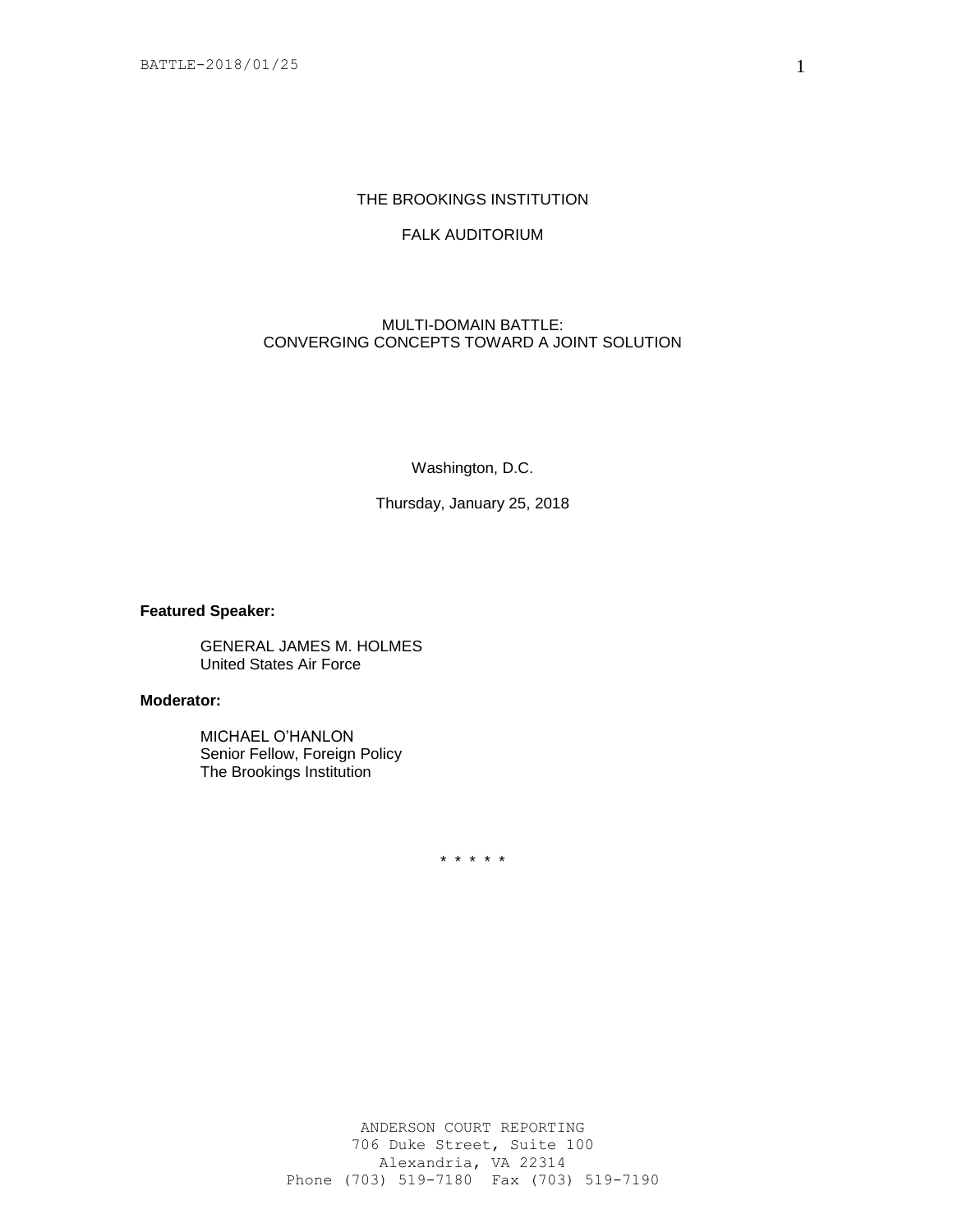# THE BROOKINGS INSTITUTION

## FALK AUDITORIUM

## MULTI-DOMAIN BATTLE: CONVERGING CONCEPTS TOWARD A JOINT SOLUTION

Washington, D.C.

Thursday, January 25, 2018

### **Featured Speaker:**

GENERAL JAMES M. HOLMES United States Air Force

### **Moderator:**

MICHAEL O'HANLON Senior Fellow, Foreign Policy The Brookings Institution

\* \* \* \* \*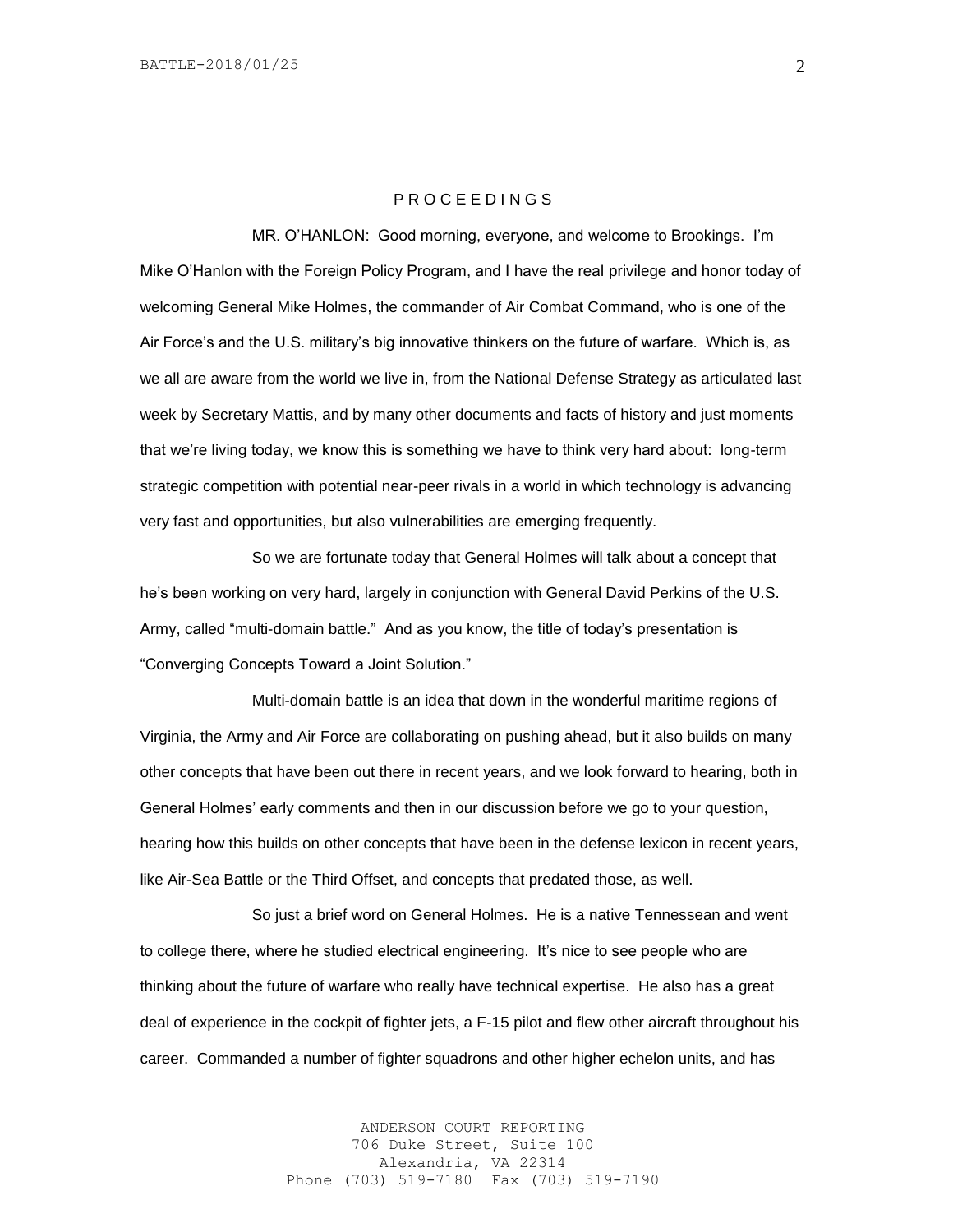#### P R O C E E D I N G S

MR. O'HANLON: Good morning, everyone, and welcome to Brookings. I'm Mike O'Hanlon with the Foreign Policy Program, and I have the real privilege and honor today of welcoming General Mike Holmes, the commander of Air Combat Command, who is one of the Air Force's and the U.S. military's big innovative thinkers on the future of warfare. Which is, as we all are aware from the world we live in, from the National Defense Strategy as articulated last week by Secretary Mattis, and by many other documents and facts of history and just moments that we're living today, we know this is something we have to think very hard about: long-term strategic competition with potential near-peer rivals in a world in which technology is advancing very fast and opportunities, but also vulnerabilities are emerging frequently.

So we are fortunate today that General Holmes will talk about a concept that he's been working on very hard, largely in conjunction with General David Perkins of the U.S. Army, called "multi-domain battle." And as you know, the title of today's presentation is "Converging Concepts Toward a Joint Solution."

Multi-domain battle is an idea that down in the wonderful maritime regions of Virginia, the Army and Air Force are collaborating on pushing ahead, but it also builds on many other concepts that have been out there in recent years, and we look forward to hearing, both in General Holmes' early comments and then in our discussion before we go to your question, hearing how this builds on other concepts that have been in the defense lexicon in recent years, like Air-Sea Battle or the Third Offset, and concepts that predated those, as well.

So just a brief word on General Holmes. He is a native Tennessean and went to college there, where he studied electrical engineering. It's nice to see people who are thinking about the future of warfare who really have technical expertise. He also has a great deal of experience in the cockpit of fighter jets, a F-15 pilot and flew other aircraft throughout his career. Commanded a number of fighter squadrons and other higher echelon units, and has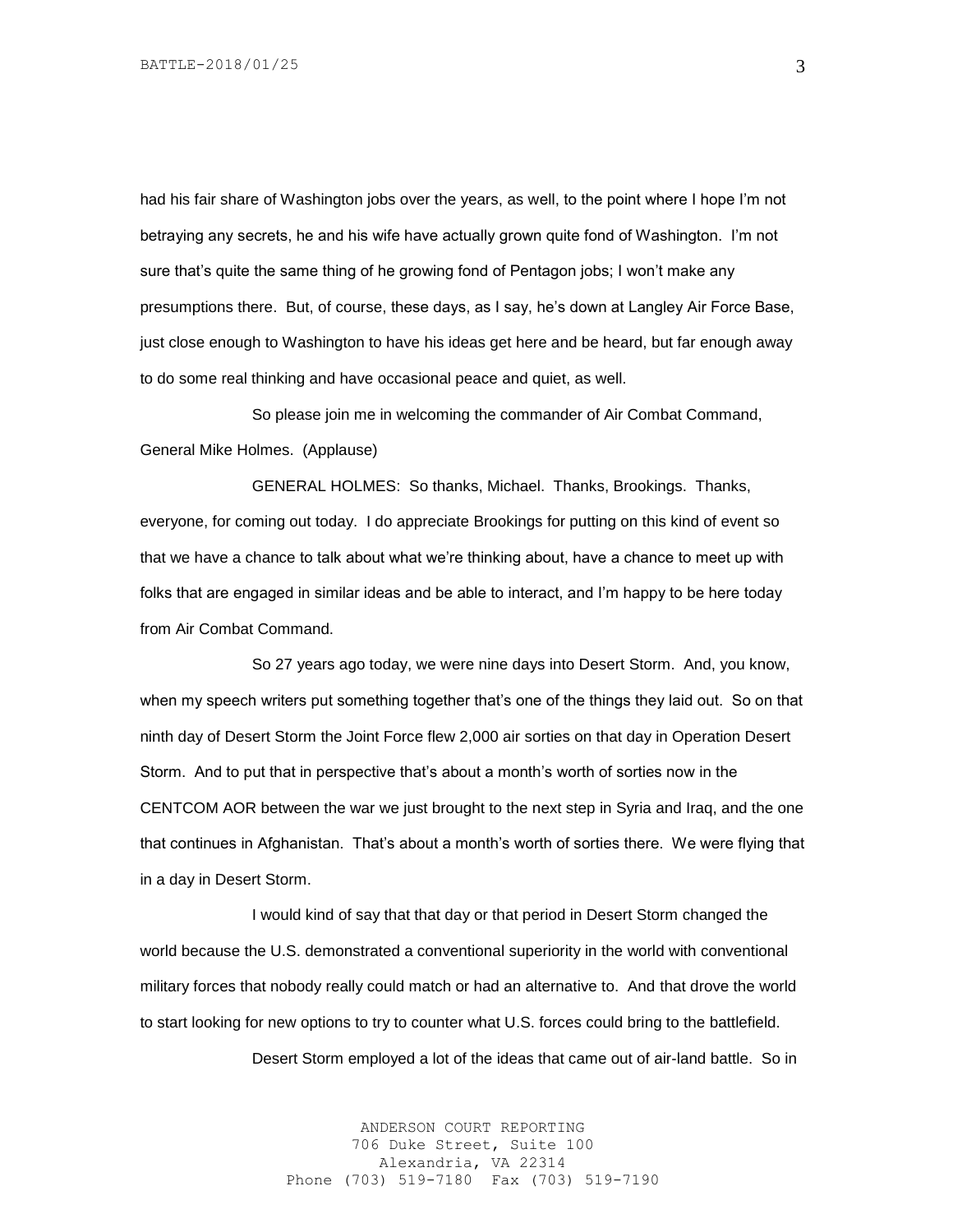had his fair share of Washington jobs over the years, as well, to the point where I hope I'm not betraying any secrets, he and his wife have actually grown quite fond of Washington. I'm not sure that's quite the same thing of he growing fond of Pentagon jobs; I won't make any presumptions there. But, of course, these days, as I say, he's down at Langley Air Force Base, just close enough to Washington to have his ideas get here and be heard, but far enough away to do some real thinking and have occasional peace and quiet, as well.

So please join me in welcoming the commander of Air Combat Command, General Mike Holmes. (Applause)

GENERAL HOLMES: So thanks, Michael. Thanks, Brookings. Thanks, everyone, for coming out today. I do appreciate Brookings for putting on this kind of event so that we have a chance to talk about what we're thinking about, have a chance to meet up with folks that are engaged in similar ideas and be able to interact, and I'm happy to be here today from Air Combat Command.

So 27 years ago today, we were nine days into Desert Storm. And, you know, when my speech writers put something together that's one of the things they laid out. So on that ninth day of Desert Storm the Joint Force flew 2,000 air sorties on that day in Operation Desert Storm. And to put that in perspective that's about a month's worth of sorties now in the CENTCOM AOR between the war we just brought to the next step in Syria and Iraq, and the one that continues in Afghanistan. That's about a month's worth of sorties there. We were flying that in a day in Desert Storm.

I would kind of say that that day or that period in Desert Storm changed the world because the U.S. demonstrated a conventional superiority in the world with conventional military forces that nobody really could match or had an alternative to. And that drove the world to start looking for new options to try to counter what U.S. forces could bring to the battlefield.

Desert Storm employed a lot of the ideas that came out of air-land battle. So in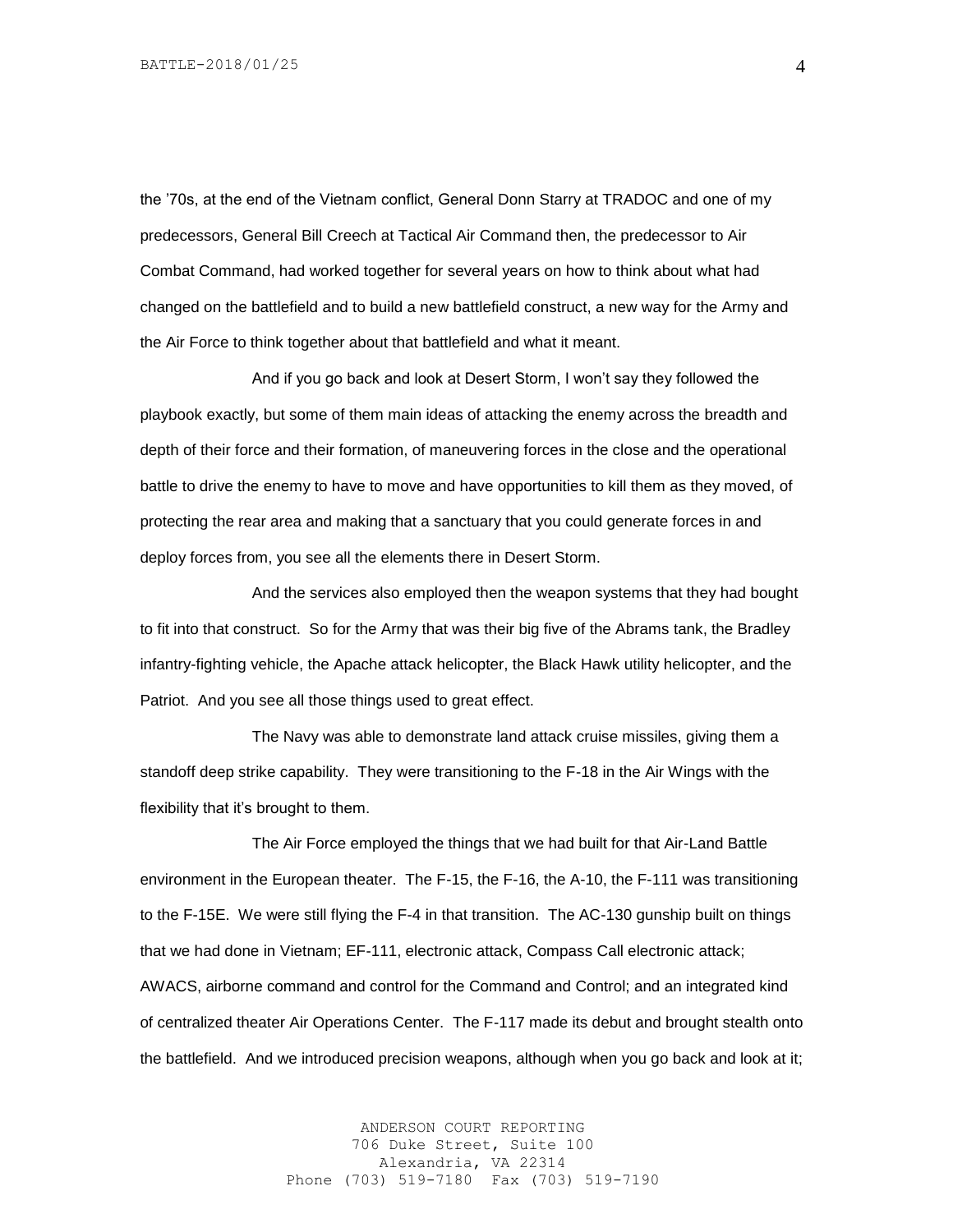the '70s, at the end of the Vietnam conflict, General Donn Starry at TRADOC and one of my predecessors, General Bill Creech at Tactical Air Command then, the predecessor to Air Combat Command, had worked together for several years on how to think about what had changed on the battlefield and to build a new battlefield construct, a new way for the Army and the Air Force to think together about that battlefield and what it meant.

And if you go back and look at Desert Storm, I won't say they followed the playbook exactly, but some of them main ideas of attacking the enemy across the breadth and depth of their force and their formation, of maneuvering forces in the close and the operational battle to drive the enemy to have to move and have opportunities to kill them as they moved, of protecting the rear area and making that a sanctuary that you could generate forces in and deploy forces from, you see all the elements there in Desert Storm.

And the services also employed then the weapon systems that they had bought to fit into that construct. So for the Army that was their big five of the Abrams tank, the Bradley infantry-fighting vehicle, the Apache attack helicopter, the Black Hawk utility helicopter, and the Patriot. And you see all those things used to great effect.

The Navy was able to demonstrate land attack cruise missiles, giving them a standoff deep strike capability. They were transitioning to the F-18 in the Air Wings with the flexibility that it's brought to them.

The Air Force employed the things that we had built for that Air-Land Battle environment in the European theater. The F-15, the F-16, the A-10, the F-111 was transitioning to the F-15E. We were still flying the F-4 in that transition. The AC-130 gunship built on things that we had done in Vietnam; EF-111, electronic attack, Compass Call electronic attack; AWACS, airborne command and control for the Command and Control; and an integrated kind of centralized theater Air Operations Center. The F-117 made its debut and brought stealth onto the battlefield. And we introduced precision weapons, although when you go back and look at it;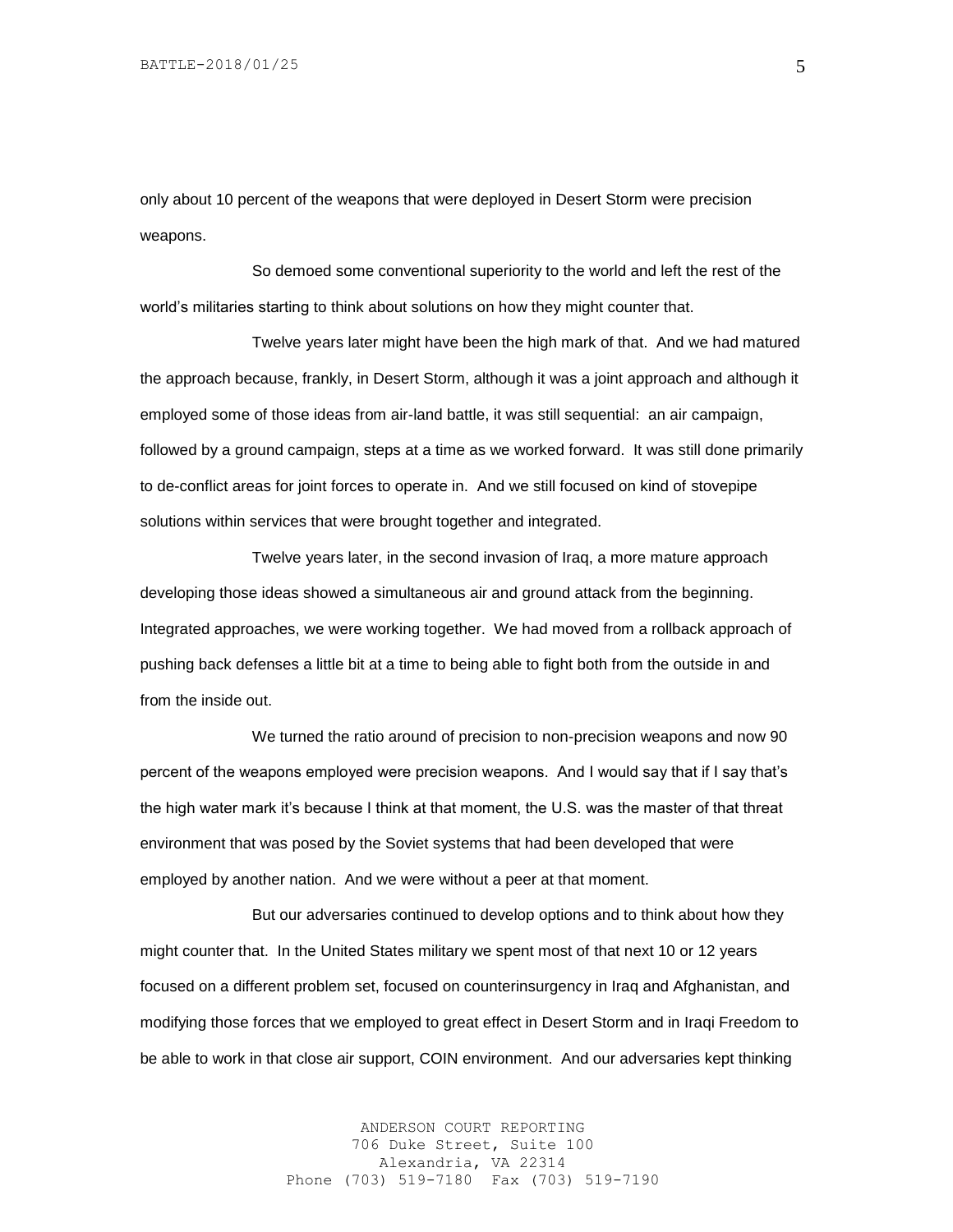only about 10 percent of the weapons that were deployed in Desert Storm were precision weapons.

So demoed some conventional superiority to the world and left the rest of the world's militaries starting to think about solutions on how they might counter that.

Twelve years later might have been the high mark of that. And we had matured the approach because, frankly, in Desert Storm, although it was a joint approach and although it employed some of those ideas from air-land battle, it was still sequential: an air campaign, followed by a ground campaign, steps at a time as we worked forward. It was still done primarily to de-conflict areas for joint forces to operate in. And we still focused on kind of stovepipe solutions within services that were brought together and integrated.

Twelve years later, in the second invasion of Iraq, a more mature approach developing those ideas showed a simultaneous air and ground attack from the beginning. Integrated approaches, we were working together. We had moved from a rollback approach of pushing back defenses a little bit at a time to being able to fight both from the outside in and from the inside out.

We turned the ratio around of precision to non-precision weapons and now 90 percent of the weapons employed were precision weapons. And I would say that if I say that's the high water mark it's because I think at that moment, the U.S. was the master of that threat environment that was posed by the Soviet systems that had been developed that were employed by another nation. And we were without a peer at that moment.

But our adversaries continued to develop options and to think about how they might counter that. In the United States military we spent most of that next 10 or 12 years focused on a different problem set, focused on counterinsurgency in Iraq and Afghanistan, and modifying those forces that we employed to great effect in Desert Storm and in Iraqi Freedom to be able to work in that close air support, COIN environment. And our adversaries kept thinking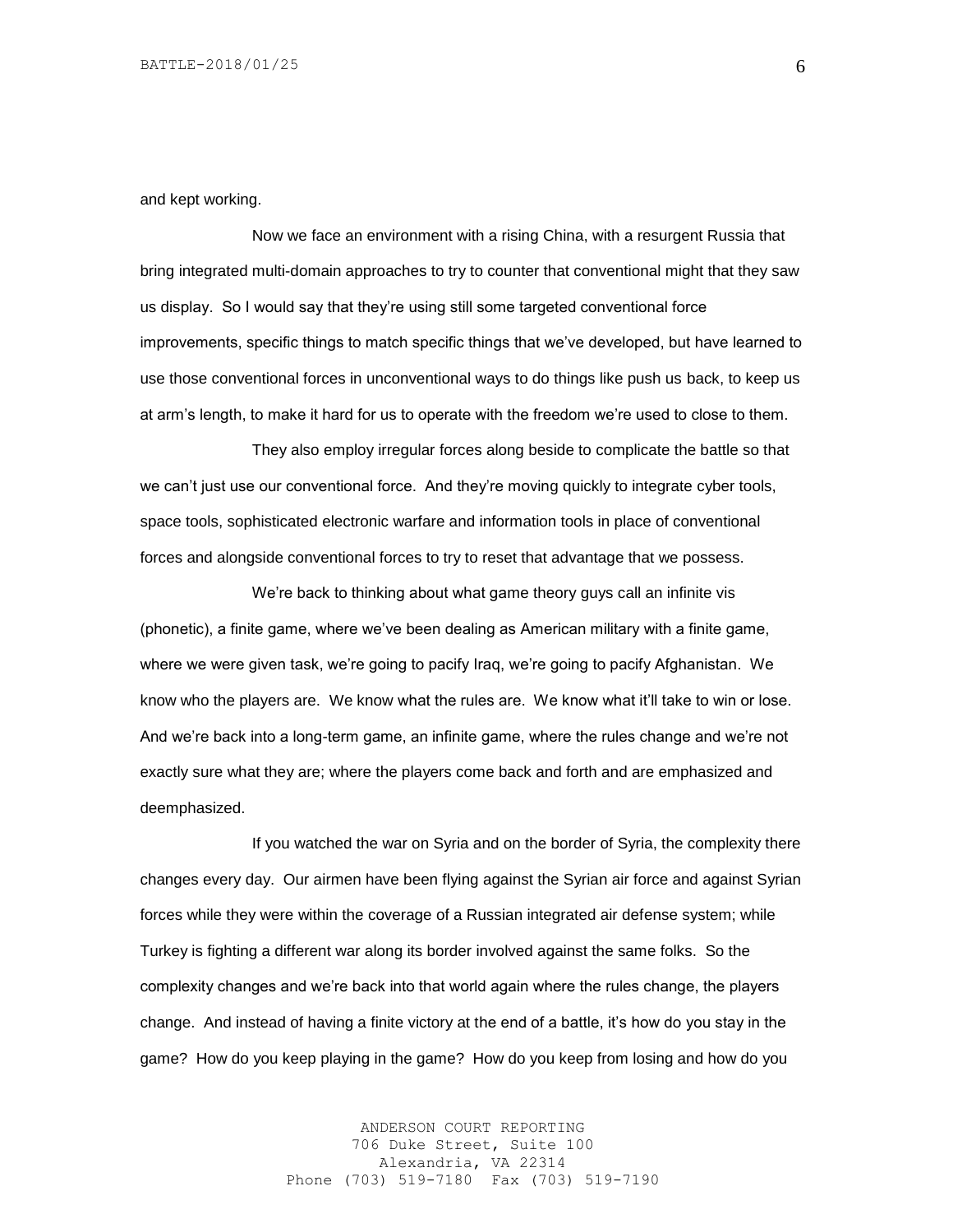and kept working.

Now we face an environment with a rising China, with a resurgent Russia that bring integrated multi-domain approaches to try to counter that conventional might that they saw us display. So I would say that they're using still some targeted conventional force improvements, specific things to match specific things that we've developed, but have learned to use those conventional forces in unconventional ways to do things like push us back, to keep us at arm's length, to make it hard for us to operate with the freedom we're used to close to them.

They also employ irregular forces along beside to complicate the battle so that we can't just use our conventional force. And they're moving quickly to integrate cyber tools, space tools, sophisticated electronic warfare and information tools in place of conventional forces and alongside conventional forces to try to reset that advantage that we possess.

We're back to thinking about what game theory guys call an infinite vis (phonetic), a finite game, where we've been dealing as American military with a finite game, where we were given task, we're going to pacify Iraq, we're going to pacify Afghanistan. We know who the players are. We know what the rules are. We know what it'll take to win or lose. And we're back into a long-term game, an infinite game, where the rules change and we're not exactly sure what they are; where the players come back and forth and are emphasized and deemphasized.

If you watched the war on Syria and on the border of Syria, the complexity there changes every day. Our airmen have been flying against the Syrian air force and against Syrian forces while they were within the coverage of a Russian integrated air defense system; while Turkey is fighting a different war along its border involved against the same folks. So the complexity changes and we're back into that world again where the rules change, the players change. And instead of having a finite victory at the end of a battle, it's how do you stay in the game? How do you keep playing in the game? How do you keep from losing and how do you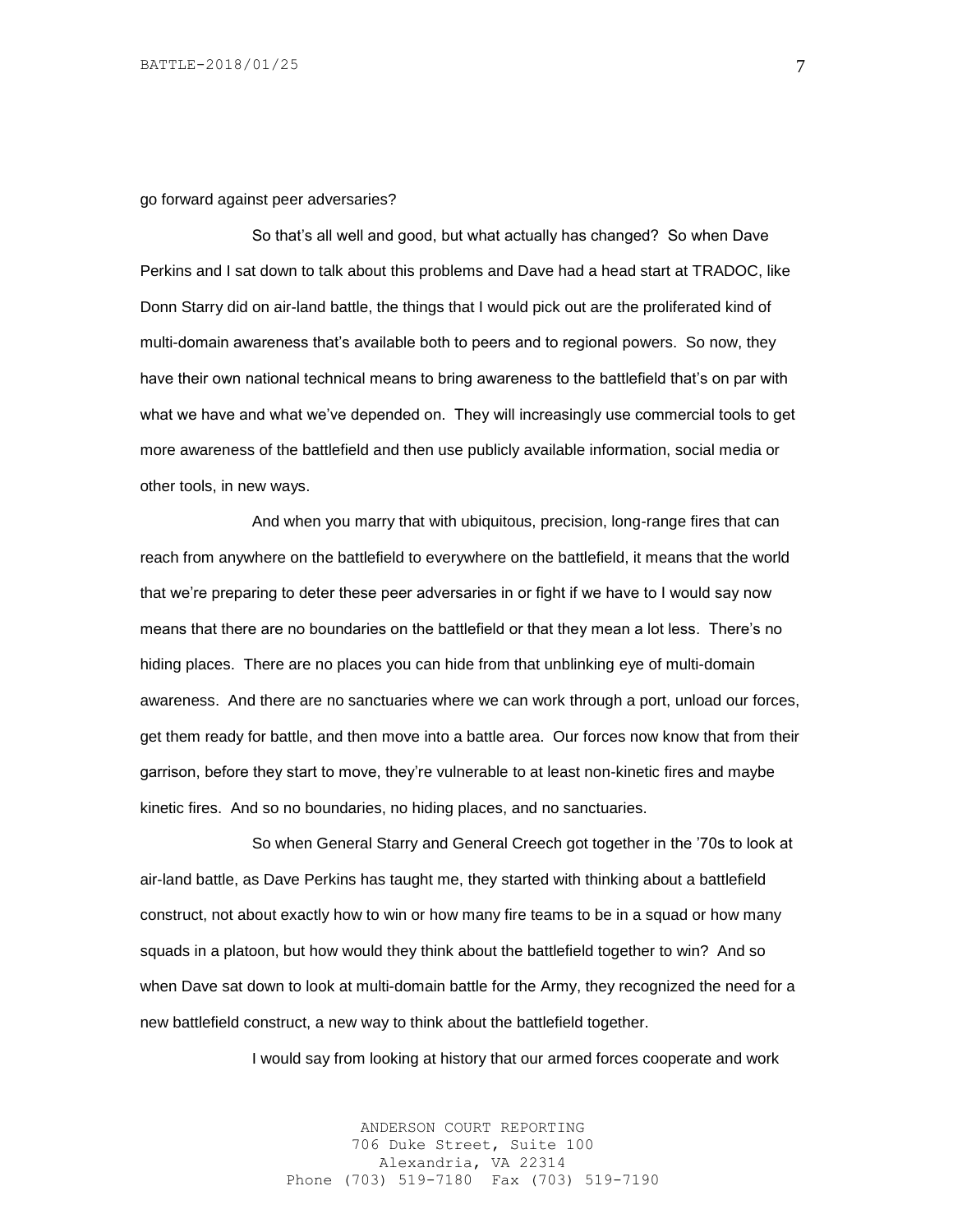go forward against peer adversaries?

So that's all well and good, but what actually has changed? So when Dave Perkins and I sat down to talk about this problems and Dave had a head start at TRADOC, like Donn Starry did on air-land battle, the things that I would pick out are the proliferated kind of multi-domain awareness that's available both to peers and to regional powers. So now, they have their own national technical means to bring awareness to the battlefield that's on par with what we have and what we've depended on. They will increasingly use commercial tools to get more awareness of the battlefield and then use publicly available information, social media or other tools, in new ways.

And when you marry that with ubiquitous, precision, long-range fires that can reach from anywhere on the battlefield to everywhere on the battlefield, it means that the world that we're preparing to deter these peer adversaries in or fight if we have to I would say now means that there are no boundaries on the battlefield or that they mean a lot less. There's no hiding places. There are no places you can hide from that unblinking eye of multi-domain awareness. And there are no sanctuaries where we can work through a port, unload our forces, get them ready for battle, and then move into a battle area. Our forces now know that from their garrison, before they start to move, they're vulnerable to at least non-kinetic fires and maybe kinetic fires. And so no boundaries, no hiding places, and no sanctuaries.

So when General Starry and General Creech got together in the '70s to look at air-land battle, as Dave Perkins has taught me, they started with thinking about a battlefield construct, not about exactly how to win or how many fire teams to be in a squad or how many squads in a platoon, but how would they think about the battlefield together to win? And so when Dave sat down to look at multi-domain battle for the Army, they recognized the need for a new battlefield construct, a new way to think about the battlefield together.

I would say from looking at history that our armed forces cooperate and work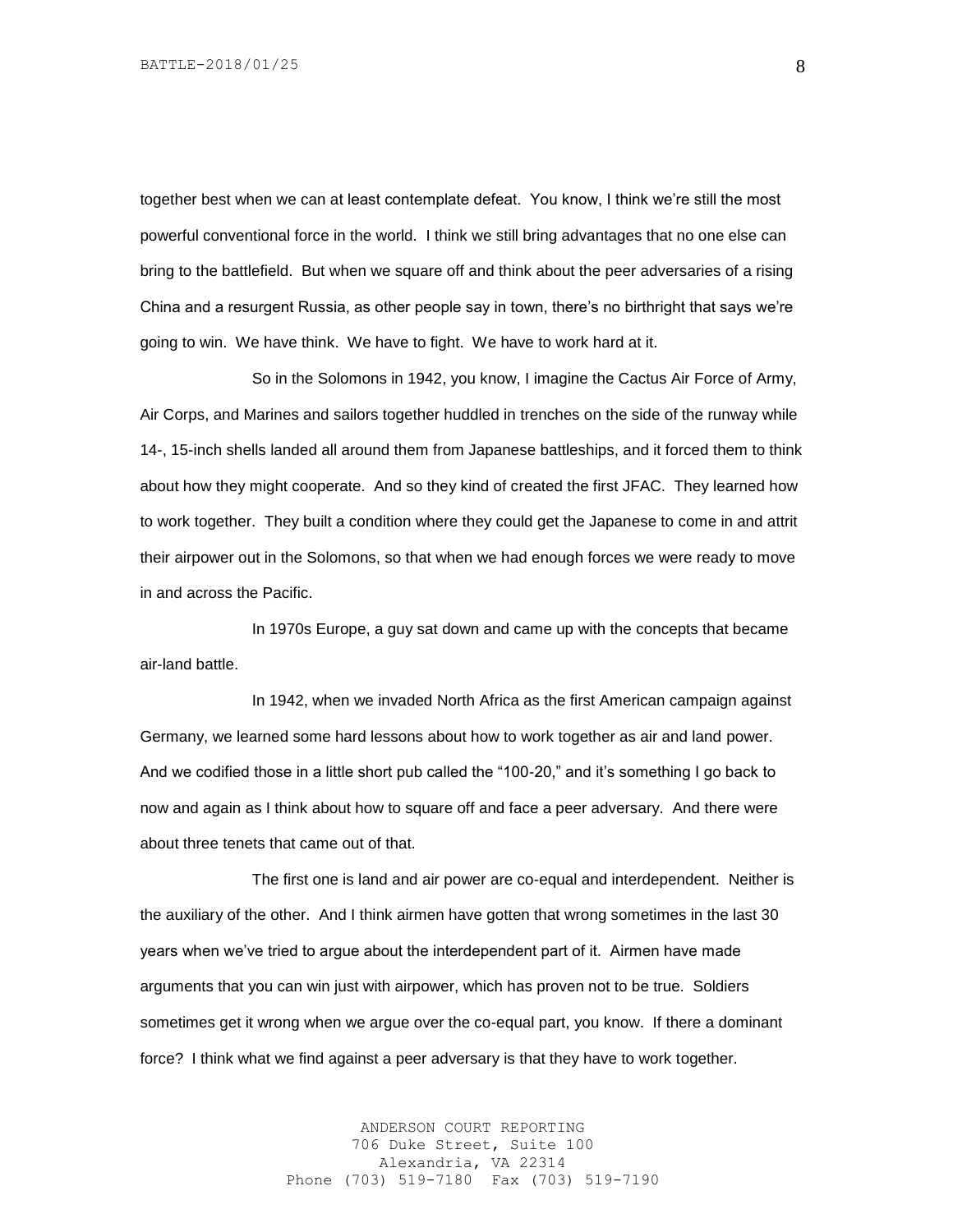together best when we can at least contemplate defeat. You know, I think we're still the most powerful conventional force in the world. I think we still bring advantages that no one else can bring to the battlefield. But when we square off and think about the peer adversaries of a rising China and a resurgent Russia, as other people say in town, there's no birthright that says we're going to win. We have think. We have to fight. We have to work hard at it.

So in the Solomons in 1942, you know, I imagine the Cactus Air Force of Army, Air Corps, and Marines and sailors together huddled in trenches on the side of the runway while 14-, 15-inch shells landed all around them from Japanese battleships, and it forced them to think about how they might cooperate. And so they kind of created the first JFAC. They learned how to work together. They built a condition where they could get the Japanese to come in and attrit their airpower out in the Solomons, so that when we had enough forces we were ready to move in and across the Pacific.

In 1970s Europe, a guy sat down and came up with the concepts that became air-land battle.

In 1942, when we invaded North Africa as the first American campaign against Germany, we learned some hard lessons about how to work together as air and land power. And we codified those in a little short pub called the "100-20," and it's something I go back to now and again as I think about how to square off and face a peer adversary. And there were about three tenets that came out of that.

The first one is land and air power are co-equal and interdependent. Neither is the auxiliary of the other. And I think airmen have gotten that wrong sometimes in the last 30 years when we've tried to argue about the interdependent part of it. Airmen have made arguments that you can win just with airpower, which has proven not to be true. Soldiers sometimes get it wrong when we argue over the co-equal part, you know. If there a dominant force? I think what we find against a peer adversary is that they have to work together.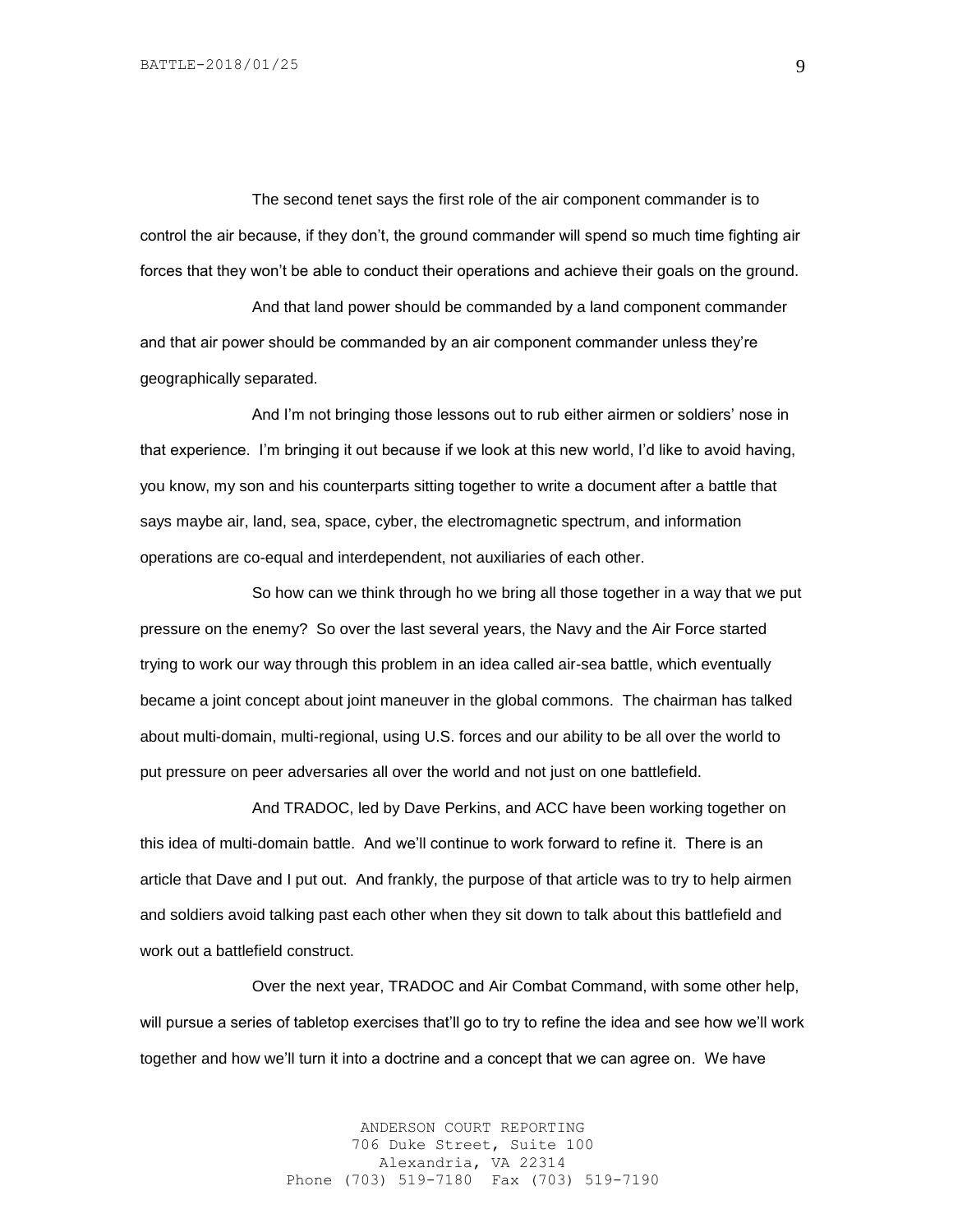The second tenet says the first role of the air component commander is to control the air because, if they don't, the ground commander will spend so much time fighting air forces that they won't be able to conduct their operations and achieve their goals on the ground.

And that land power should be commanded by a land component commander and that air power should be commanded by an air component commander unless they're geographically separated.

And I'm not bringing those lessons out to rub either airmen or soldiers' nose in that experience. I'm bringing it out because if we look at this new world, I'd like to avoid having, you know, my son and his counterparts sitting together to write a document after a battle that says maybe air, land, sea, space, cyber, the electromagnetic spectrum, and information operations are co-equal and interdependent, not auxiliaries of each other.

So how can we think through ho we bring all those together in a way that we put pressure on the enemy? So over the last several years, the Navy and the Air Force started trying to work our way through this problem in an idea called air-sea battle, which eventually became a joint concept about joint maneuver in the global commons. The chairman has talked about multi-domain, multi-regional, using U.S. forces and our ability to be all over the world to put pressure on peer adversaries all over the world and not just on one battlefield.

And TRADOC, led by Dave Perkins, and ACC have been working together on this idea of multi-domain battle. And we'll continue to work forward to refine it. There is an article that Dave and I put out. And frankly, the purpose of that article was to try to help airmen and soldiers avoid talking past each other when they sit down to talk about this battlefield and work out a battlefield construct.

Over the next year, TRADOC and Air Combat Command, with some other help, will pursue a series of tabletop exercises that'll go to try to refine the idea and see how we'll work together and how we'll turn it into a doctrine and a concept that we can agree on. We have

> ANDERSON COURT REPORTING 706 Duke Street, Suite 100 Alexandria, VA 22314 Phone (703) 519-7180 Fax (703) 519-7190

9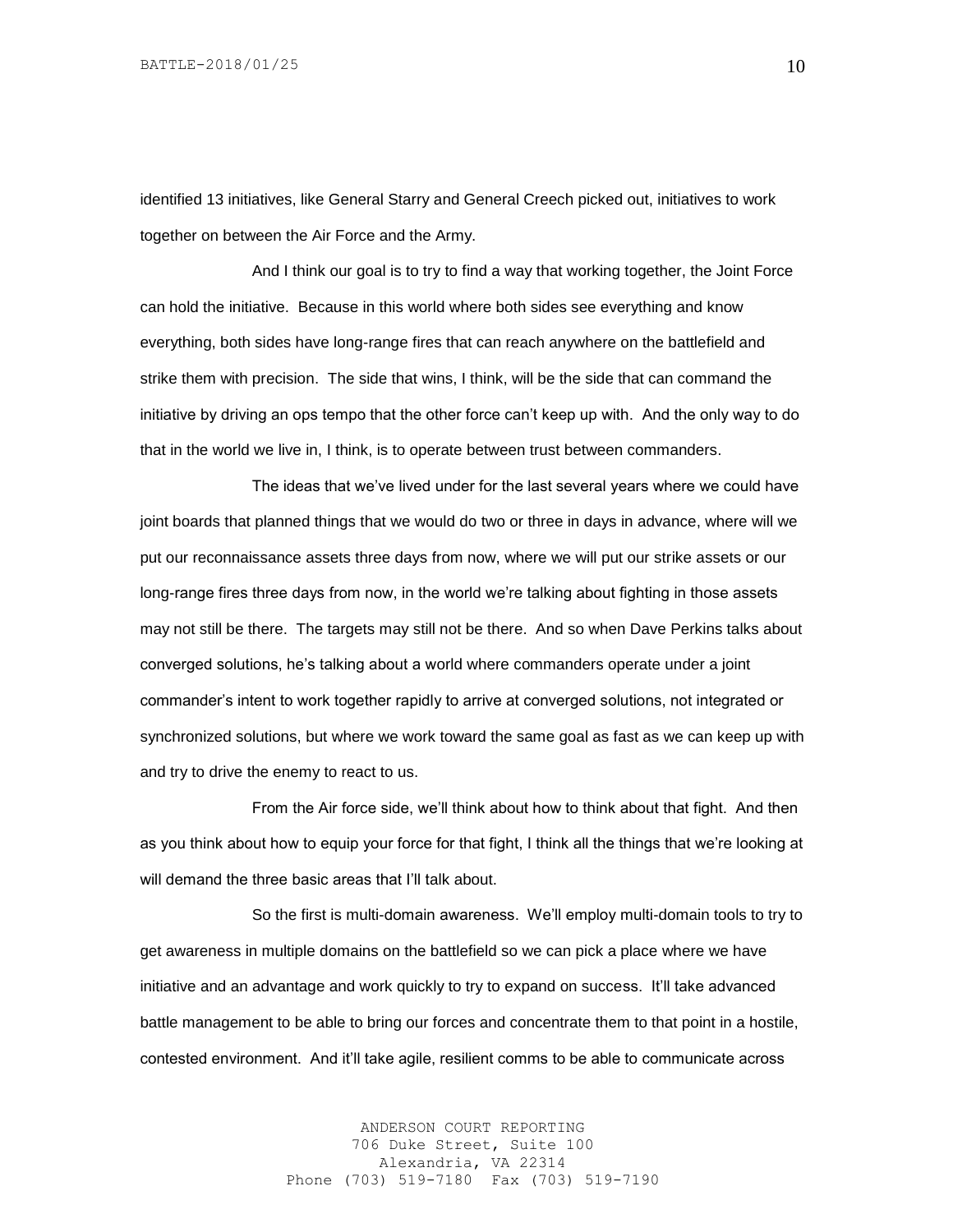identified 13 initiatives, like General Starry and General Creech picked out, initiatives to work together on between the Air Force and the Army.

And I think our goal is to try to find a way that working together, the Joint Force can hold the initiative. Because in this world where both sides see everything and know everything, both sides have long-range fires that can reach anywhere on the battlefield and strike them with precision. The side that wins, I think, will be the side that can command the initiative by driving an ops tempo that the other force can't keep up with. And the only way to do that in the world we live in, I think, is to operate between trust between commanders.

The ideas that we've lived under for the last several years where we could have joint boards that planned things that we would do two or three in days in advance, where will we put our reconnaissance assets three days from now, where we will put our strike assets or our long-range fires three days from now, in the world we're talking about fighting in those assets may not still be there. The targets may still not be there. And so when Dave Perkins talks about converged solutions, he's talking about a world where commanders operate under a joint commander's intent to work together rapidly to arrive at converged solutions, not integrated or synchronized solutions, but where we work toward the same goal as fast as we can keep up with and try to drive the enemy to react to us.

From the Air force side, we'll think about how to think about that fight. And then as you think about how to equip your force for that fight, I think all the things that we're looking at will demand the three basic areas that I'll talk about.

So the first is multi-domain awareness. We'll employ multi-domain tools to try to get awareness in multiple domains on the battlefield so we can pick a place where we have initiative and an advantage and work quickly to try to expand on success. It'll take advanced battle management to be able to bring our forces and concentrate them to that point in a hostile, contested environment. And it'll take agile, resilient comms to be able to communicate across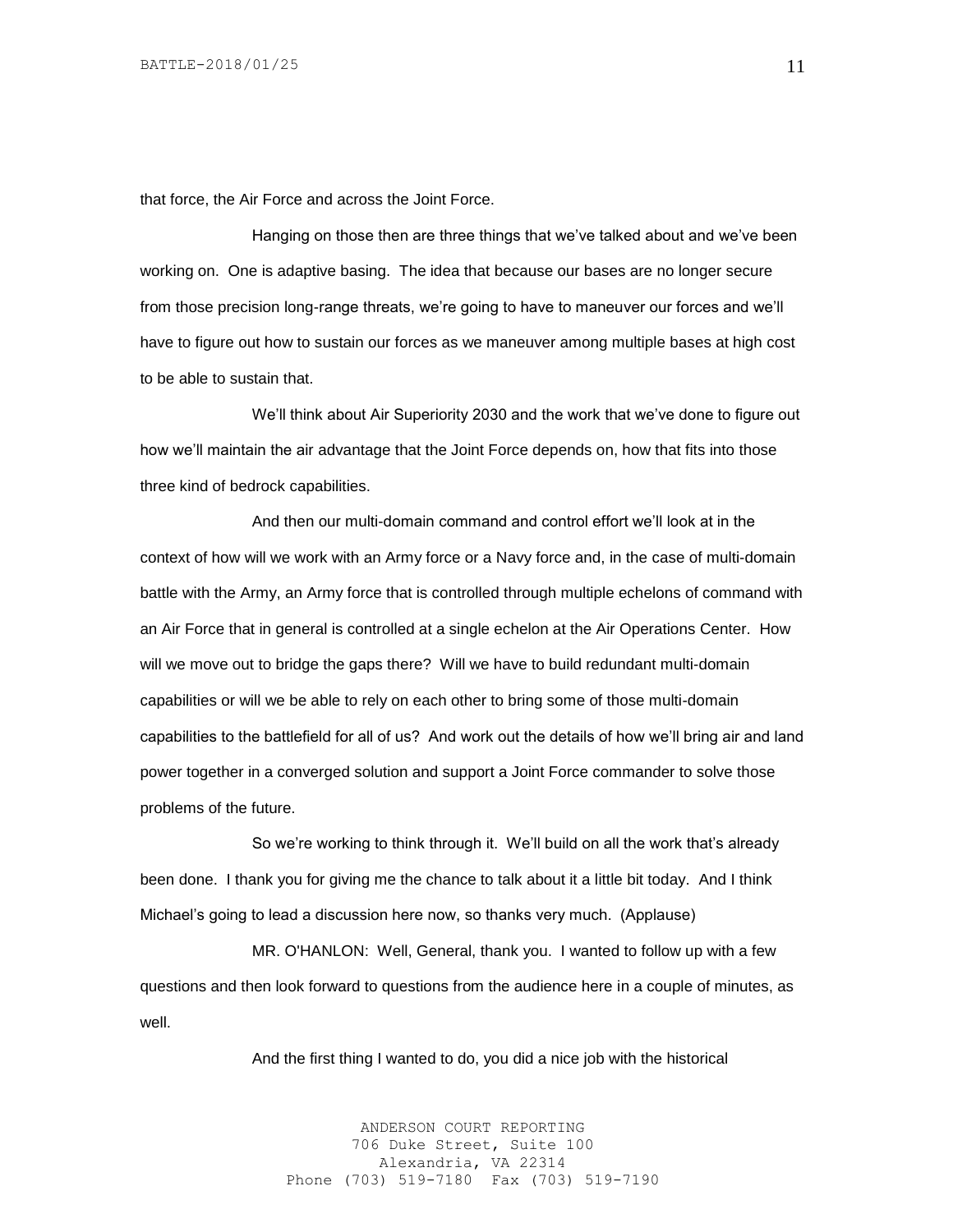that force, the Air Force and across the Joint Force.

Hanging on those then are three things that we've talked about and we've been working on. One is adaptive basing. The idea that because our bases are no longer secure from those precision long-range threats, we're going to have to maneuver our forces and we'll have to figure out how to sustain our forces as we maneuver among multiple bases at high cost to be able to sustain that.

We'll think about Air Superiority 2030 and the work that we've done to figure out how we'll maintain the air advantage that the Joint Force depends on, how that fits into those three kind of bedrock capabilities.

And then our multi-domain command and control effort we'll look at in the context of how will we work with an Army force or a Navy force and, in the case of multi-domain battle with the Army, an Army force that is controlled through multiple echelons of command with an Air Force that in general is controlled at a single echelon at the Air Operations Center. How will we move out to bridge the gaps there? Will we have to build redundant multi-domain capabilities or will we be able to rely on each other to bring some of those multi-domain capabilities to the battlefield for all of us? And work out the details of how we'll bring air and land power together in a converged solution and support a Joint Force commander to solve those problems of the future.

So we're working to think through it. We'll build on all the work that's already been done. I thank you for giving me the chance to talk about it a little bit today. And I think Michael's going to lead a discussion here now, so thanks very much. (Applause)

MR. O'HANLON: Well, General, thank you. I wanted to follow up with a few questions and then look forward to questions from the audience here in a couple of minutes, as well.

And the first thing I wanted to do, you did a nice job with the historical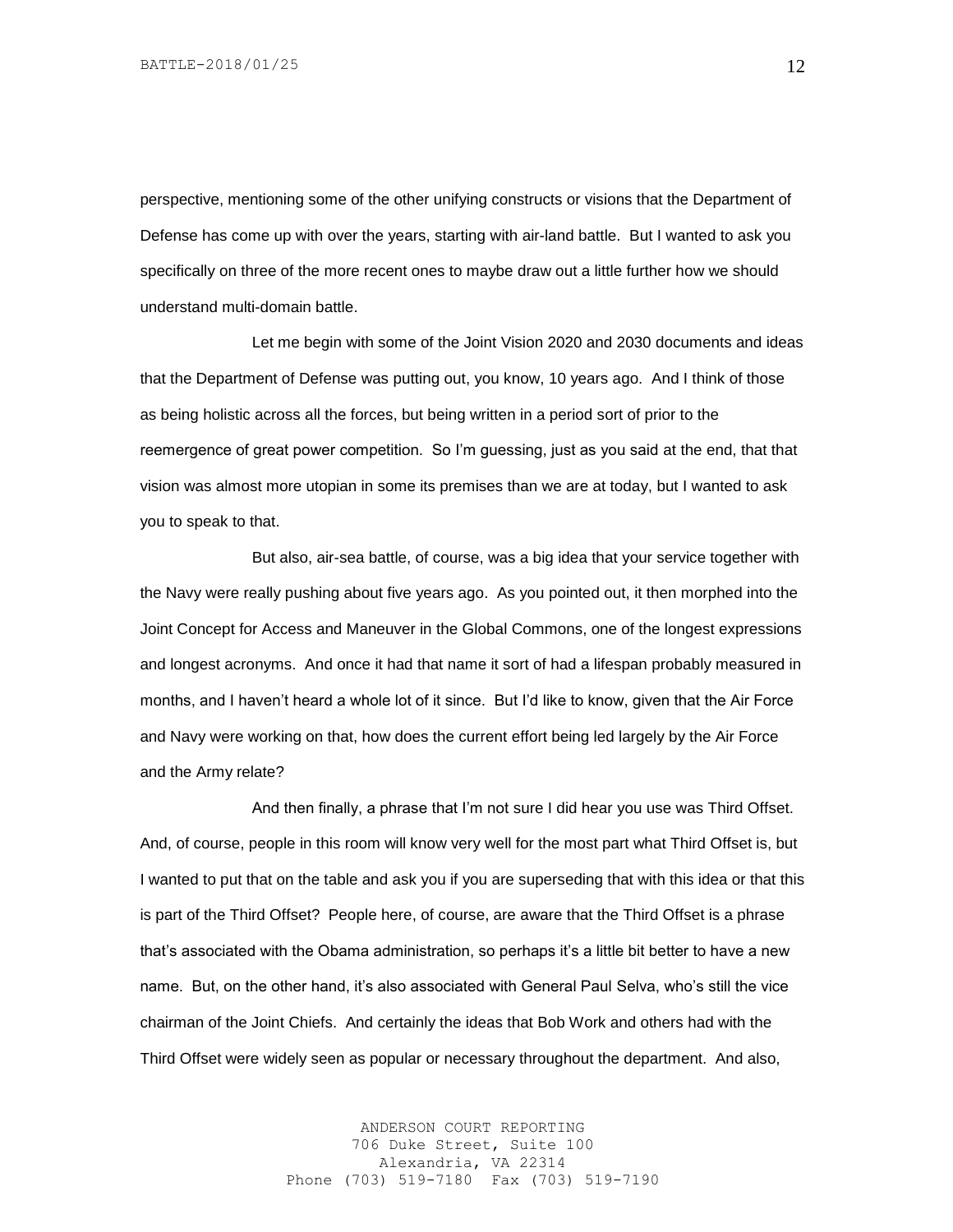perspective, mentioning some of the other unifying constructs or visions that the Department of Defense has come up with over the years, starting with air-land battle. But I wanted to ask you specifically on three of the more recent ones to maybe draw out a little further how we should understand multi-domain battle.

Let me begin with some of the Joint Vision 2020 and 2030 documents and ideas that the Department of Defense was putting out, you know, 10 years ago. And I think of those as being holistic across all the forces, but being written in a period sort of prior to the reemergence of great power competition. So I'm guessing, just as you said at the end, that that vision was almost more utopian in some its premises than we are at today, but I wanted to ask you to speak to that.

But also, air-sea battle, of course, was a big idea that your service together with the Navy were really pushing about five years ago. As you pointed out, it then morphed into the Joint Concept for Access and Maneuver in the Global Commons, one of the longest expressions and longest acronyms. And once it had that name it sort of had a lifespan probably measured in months, and I haven't heard a whole lot of it since. But I'd like to know, given that the Air Force and Navy were working on that, how does the current effort being led largely by the Air Force and the Army relate?

And then finally, a phrase that I'm not sure I did hear you use was Third Offset. And, of course, people in this room will know very well for the most part what Third Offset is, but I wanted to put that on the table and ask you if you are superseding that with this idea or that this is part of the Third Offset? People here, of course, are aware that the Third Offset is a phrase that's associated with the Obama administration, so perhaps it's a little bit better to have a new name. But, on the other hand, it's also associated with General Paul Selva, who's still the vice chairman of the Joint Chiefs. And certainly the ideas that Bob Work and others had with the Third Offset were widely seen as popular or necessary throughout the department. And also,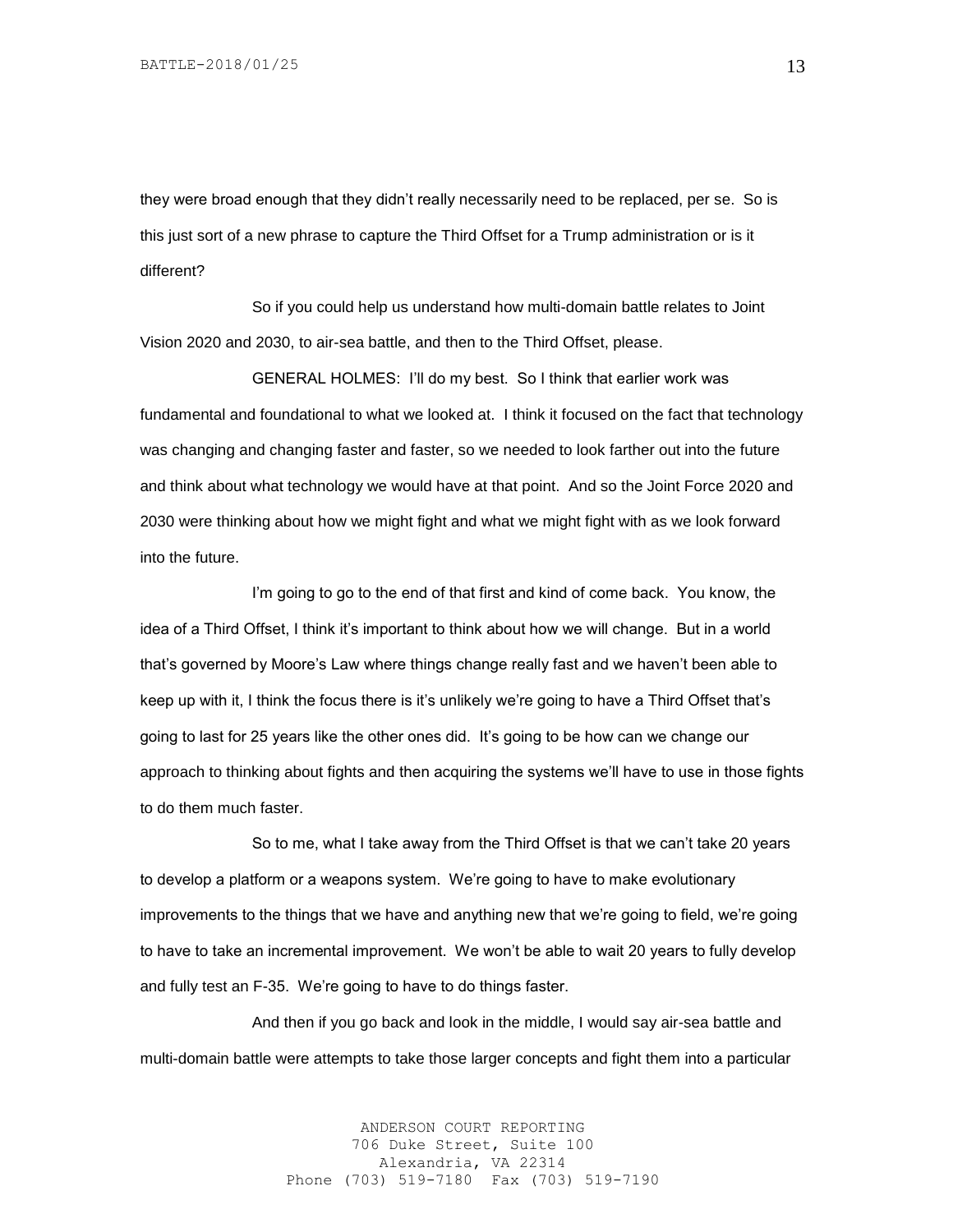they were broad enough that they didn't really necessarily need to be replaced, per se. So is this just sort of a new phrase to capture the Third Offset for a Trump administration or is it different?

So if you could help us understand how multi-domain battle relates to Joint Vision 2020 and 2030, to air-sea battle, and then to the Third Offset, please.

GENERAL HOLMES: I'll do my best. So I think that earlier work was fundamental and foundational to what we looked at. I think it focused on the fact that technology was changing and changing faster and faster, so we needed to look farther out into the future and think about what technology we would have at that point. And so the Joint Force 2020 and 2030 were thinking about how we might fight and what we might fight with as we look forward into the future.

I'm going to go to the end of that first and kind of come back. You know, the idea of a Third Offset, I think it's important to think about how we will change. But in a world that's governed by Moore's Law where things change really fast and we haven't been able to keep up with it, I think the focus there is it's unlikely we're going to have a Third Offset that's going to last for 25 years like the other ones did. It's going to be how can we change our approach to thinking about fights and then acquiring the systems we'll have to use in those fights to do them much faster.

So to me, what I take away from the Third Offset is that we can't take 20 years to develop a platform or a weapons system. We're going to have to make evolutionary improvements to the things that we have and anything new that we're going to field, we're going to have to take an incremental improvement. We won't be able to wait 20 years to fully develop and fully test an F-35. We're going to have to do things faster.

And then if you go back and look in the middle, I would say air-sea battle and multi-domain battle were attempts to take those larger concepts and fight them into a particular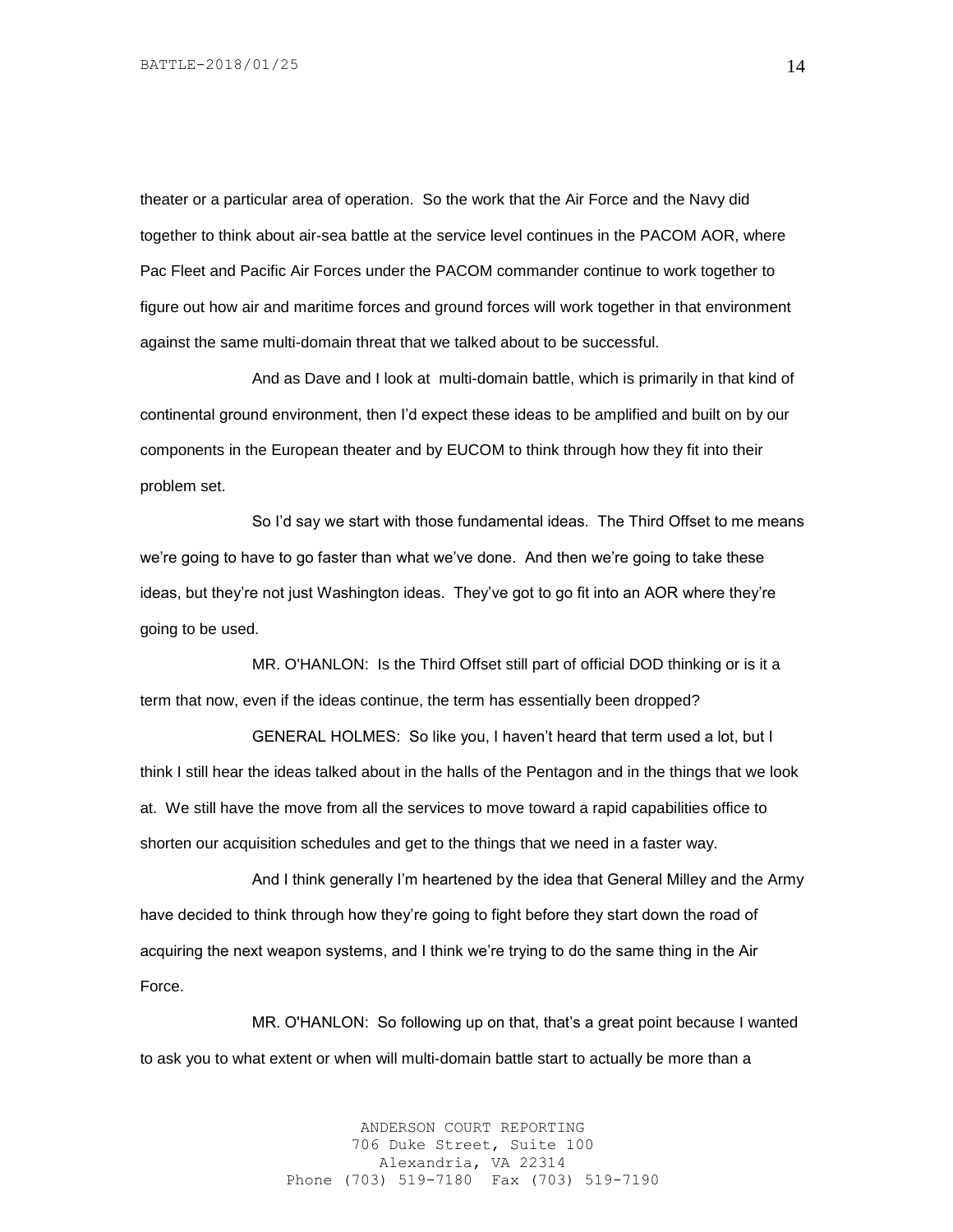theater or a particular area of operation. So the work that the Air Force and the Navy did together to think about air-sea battle at the service level continues in the PACOM AOR, where Pac Fleet and Pacific Air Forces under the PACOM commander continue to work together to figure out how air and maritime forces and ground forces will work together in that environment against the same multi-domain threat that we talked about to be successful.

And as Dave and I look at multi-domain battle, which is primarily in that kind of continental ground environment, then I'd expect these ideas to be amplified and built on by our components in the European theater and by EUCOM to think through how they fit into their problem set.

So I'd say we start with those fundamental ideas. The Third Offset to me means we're going to have to go faster than what we've done. And then we're going to take these ideas, but they're not just Washington ideas. They've got to go fit into an AOR where they're going to be used.

MR. O'HANLON: Is the Third Offset still part of official DOD thinking or is it a term that now, even if the ideas continue, the term has essentially been dropped?

GENERAL HOLMES: So like you, I haven't heard that term used a lot, but I think I still hear the ideas talked about in the halls of the Pentagon and in the things that we look at. We still have the move from all the services to move toward a rapid capabilities office to shorten our acquisition schedules and get to the things that we need in a faster way.

And I think generally I'm heartened by the idea that General Milley and the Army have decided to think through how they're going to fight before they start down the road of acquiring the next weapon systems, and I think we're trying to do the same thing in the Air Force.

MR. O'HANLON: So following up on that, that's a great point because I wanted to ask you to what extent or when will multi-domain battle start to actually be more than a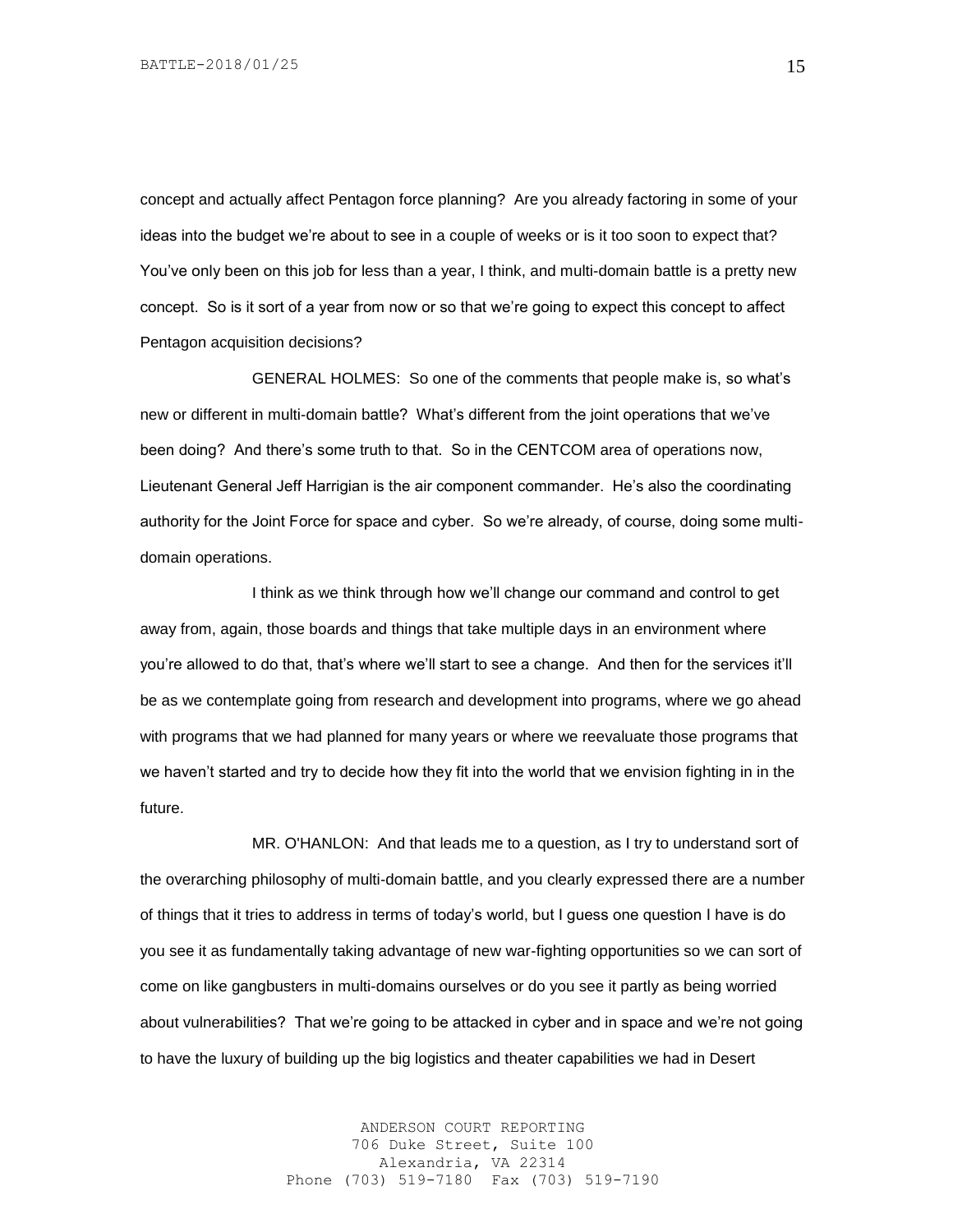concept and actually affect Pentagon force planning? Are you already factoring in some of your ideas into the budget we're about to see in a couple of weeks or is it too soon to expect that? You've only been on this job for less than a year, I think, and multi-domain battle is a pretty new concept. So is it sort of a year from now or so that we're going to expect this concept to affect Pentagon acquisition decisions?

GENERAL HOLMES: So one of the comments that people make is, so what's new or different in multi-domain battle? What's different from the joint operations that we've been doing? And there's some truth to that. So in the CENTCOM area of operations now, Lieutenant General Jeff Harrigian is the air component commander. He's also the coordinating authority for the Joint Force for space and cyber. So we're already, of course, doing some multidomain operations.

I think as we think through how we'll change our command and control to get away from, again, those boards and things that take multiple days in an environment where you're allowed to do that, that's where we'll start to see a change. And then for the services it'll be as we contemplate going from research and development into programs, where we go ahead with programs that we had planned for many years or where we reevaluate those programs that we haven't started and try to decide how they fit into the world that we envision fighting in in the future.

MR. O'HANLON: And that leads me to a question, as I try to understand sort of the overarching philosophy of multi-domain battle, and you clearly expressed there are a number of things that it tries to address in terms of today's world, but I guess one question I have is do you see it as fundamentally taking advantage of new war-fighting opportunities so we can sort of come on like gangbusters in multi-domains ourselves or do you see it partly as being worried about vulnerabilities? That we're going to be attacked in cyber and in space and we're not going to have the luxury of building up the big logistics and theater capabilities we had in Desert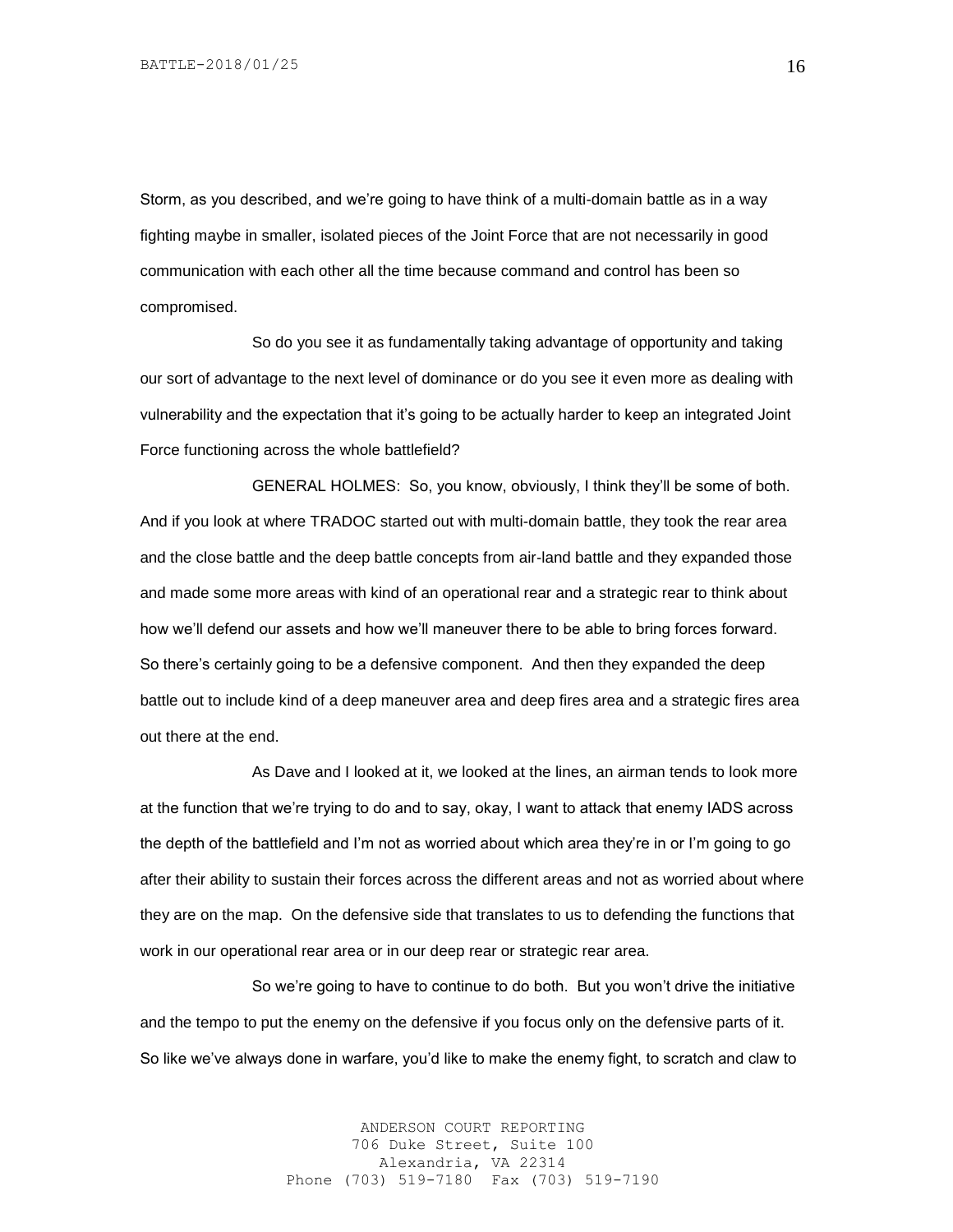Storm, as you described, and we're going to have think of a multi-domain battle as in a way fighting maybe in smaller, isolated pieces of the Joint Force that are not necessarily in good communication with each other all the time because command and control has been so compromised.

So do you see it as fundamentally taking advantage of opportunity and taking our sort of advantage to the next level of dominance or do you see it even more as dealing with vulnerability and the expectation that it's going to be actually harder to keep an integrated Joint Force functioning across the whole battlefield?

GENERAL HOLMES: So, you know, obviously, I think they'll be some of both. And if you look at where TRADOC started out with multi-domain battle, they took the rear area and the close battle and the deep battle concepts from air-land battle and they expanded those and made some more areas with kind of an operational rear and a strategic rear to think about how we'll defend our assets and how we'll maneuver there to be able to bring forces forward. So there's certainly going to be a defensive component. And then they expanded the deep battle out to include kind of a deep maneuver area and deep fires area and a strategic fires area out there at the end.

As Dave and I looked at it, we looked at the lines, an airman tends to look more at the function that we're trying to do and to say, okay, I want to attack that enemy IADS across the depth of the battlefield and I'm not as worried about which area they're in or I'm going to go after their ability to sustain their forces across the different areas and not as worried about where they are on the map. On the defensive side that translates to us to defending the functions that work in our operational rear area or in our deep rear or strategic rear area.

So we're going to have to continue to do both. But you won't drive the initiative and the tempo to put the enemy on the defensive if you focus only on the defensive parts of it. So like we've always done in warfare, you'd like to make the enemy fight, to scratch and claw to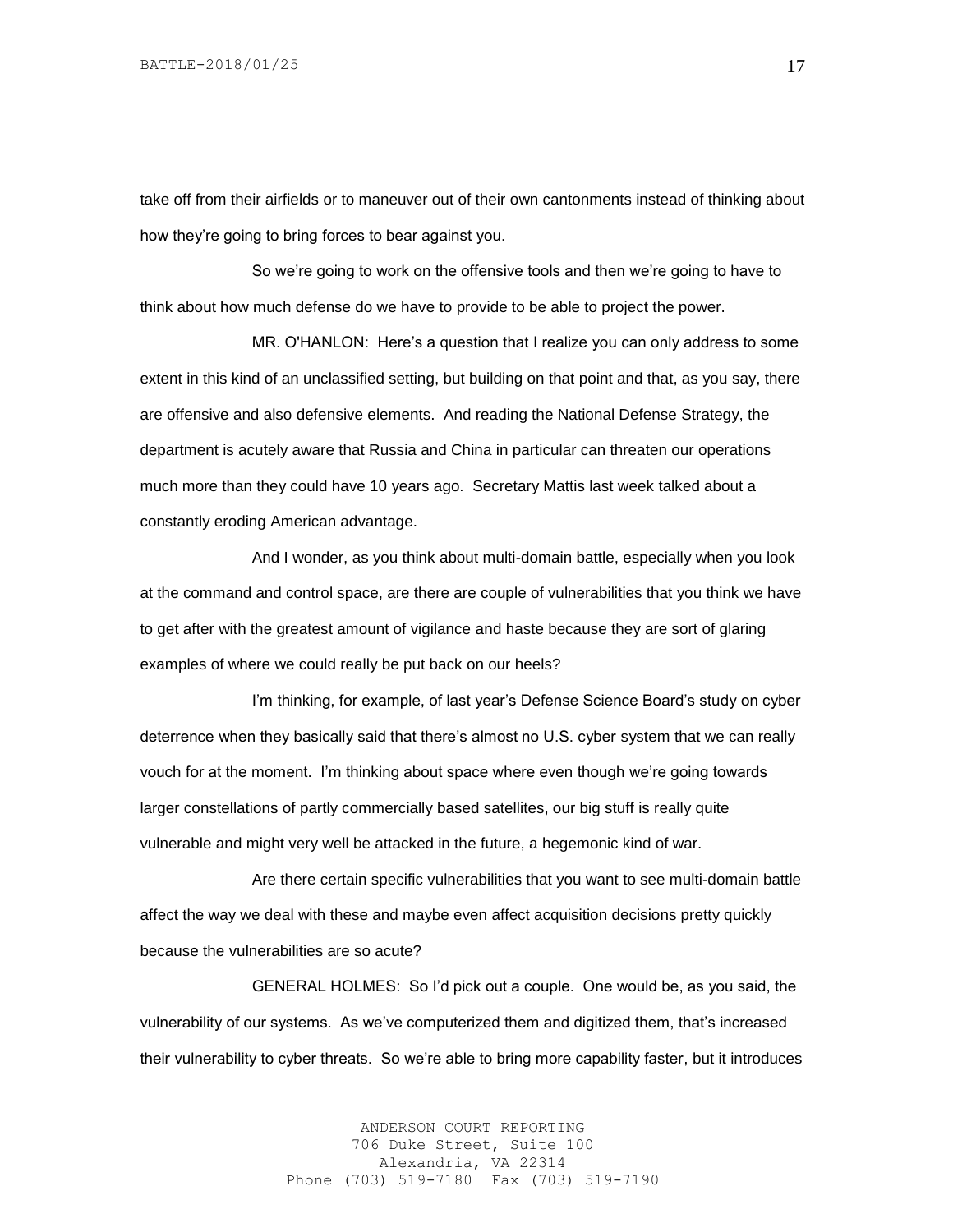take off from their airfields or to maneuver out of their own cantonments instead of thinking about how they're going to bring forces to bear against you.

So we're going to work on the offensive tools and then we're going to have to think about how much defense do we have to provide to be able to project the power.

MR. O'HANLON: Here's a question that I realize you can only address to some extent in this kind of an unclassified setting, but building on that point and that, as you say, there are offensive and also defensive elements. And reading the National Defense Strategy, the department is acutely aware that Russia and China in particular can threaten our operations much more than they could have 10 years ago. Secretary Mattis last week talked about a constantly eroding American advantage.

And I wonder, as you think about multi-domain battle, especially when you look at the command and control space, are there are couple of vulnerabilities that you think we have to get after with the greatest amount of vigilance and haste because they are sort of glaring examples of where we could really be put back on our heels?

I'm thinking, for example, of last year's Defense Science Board's study on cyber deterrence when they basically said that there's almost no U.S. cyber system that we can really vouch for at the moment. I'm thinking about space where even though we're going towards larger constellations of partly commercially based satellites, our big stuff is really quite vulnerable and might very well be attacked in the future, a hegemonic kind of war.

Are there certain specific vulnerabilities that you want to see multi-domain battle affect the way we deal with these and maybe even affect acquisition decisions pretty quickly because the vulnerabilities are so acute?

GENERAL HOLMES: So I'd pick out a couple. One would be, as you said, the vulnerability of our systems. As we've computerized them and digitized them, that's increased their vulnerability to cyber threats. So we're able to bring more capability faster, but it introduces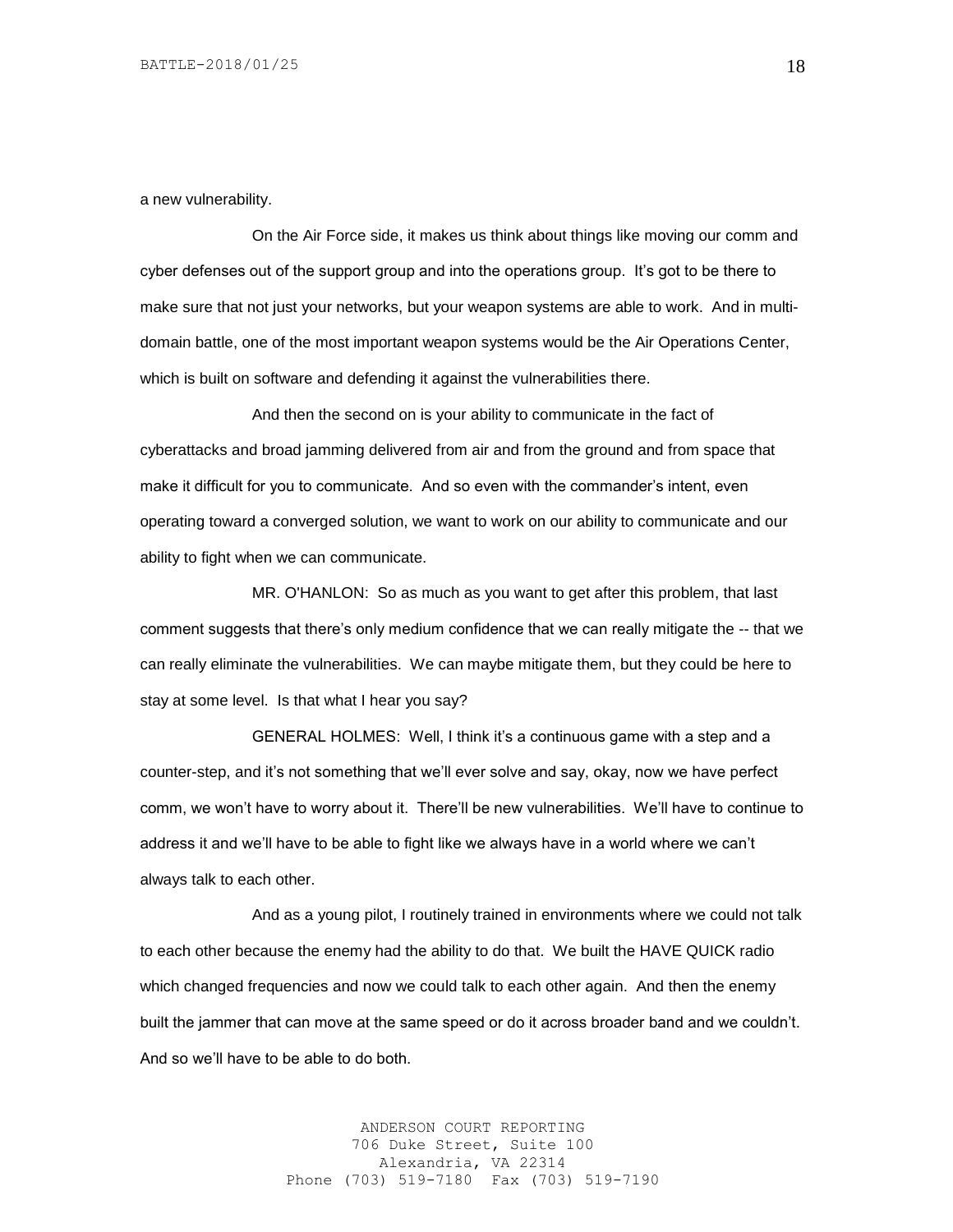a new vulnerability.

On the Air Force side, it makes us think about things like moving our comm and cyber defenses out of the support group and into the operations group. It's got to be there to make sure that not just your networks, but your weapon systems are able to work. And in multidomain battle, one of the most important weapon systems would be the Air Operations Center, which is built on software and defending it against the vulnerabilities there.

And then the second on is your ability to communicate in the fact of cyberattacks and broad jamming delivered from air and from the ground and from space that make it difficult for you to communicate. And so even with the commander's intent, even operating toward a converged solution, we want to work on our ability to communicate and our ability to fight when we can communicate.

MR. O'HANLON: So as much as you want to get after this problem, that last comment suggests that there's only medium confidence that we can really mitigate the -- that we can really eliminate the vulnerabilities. We can maybe mitigate them, but they could be here to stay at some level. Is that what I hear you say?

GENERAL HOLMES: Well, I think it's a continuous game with a step and a counter-step, and it's not something that we'll ever solve and say, okay, now we have perfect comm, we won't have to worry about it. There'll be new vulnerabilities. We'll have to continue to address it and we'll have to be able to fight like we always have in a world where we can't always talk to each other.

And as a young pilot, I routinely trained in environments where we could not talk to each other because the enemy had the ability to do that. We built the HAVE QUICK radio which changed frequencies and now we could talk to each other again. And then the enemy built the jammer that can move at the same speed or do it across broader band and we couldn't. And so we'll have to be able to do both.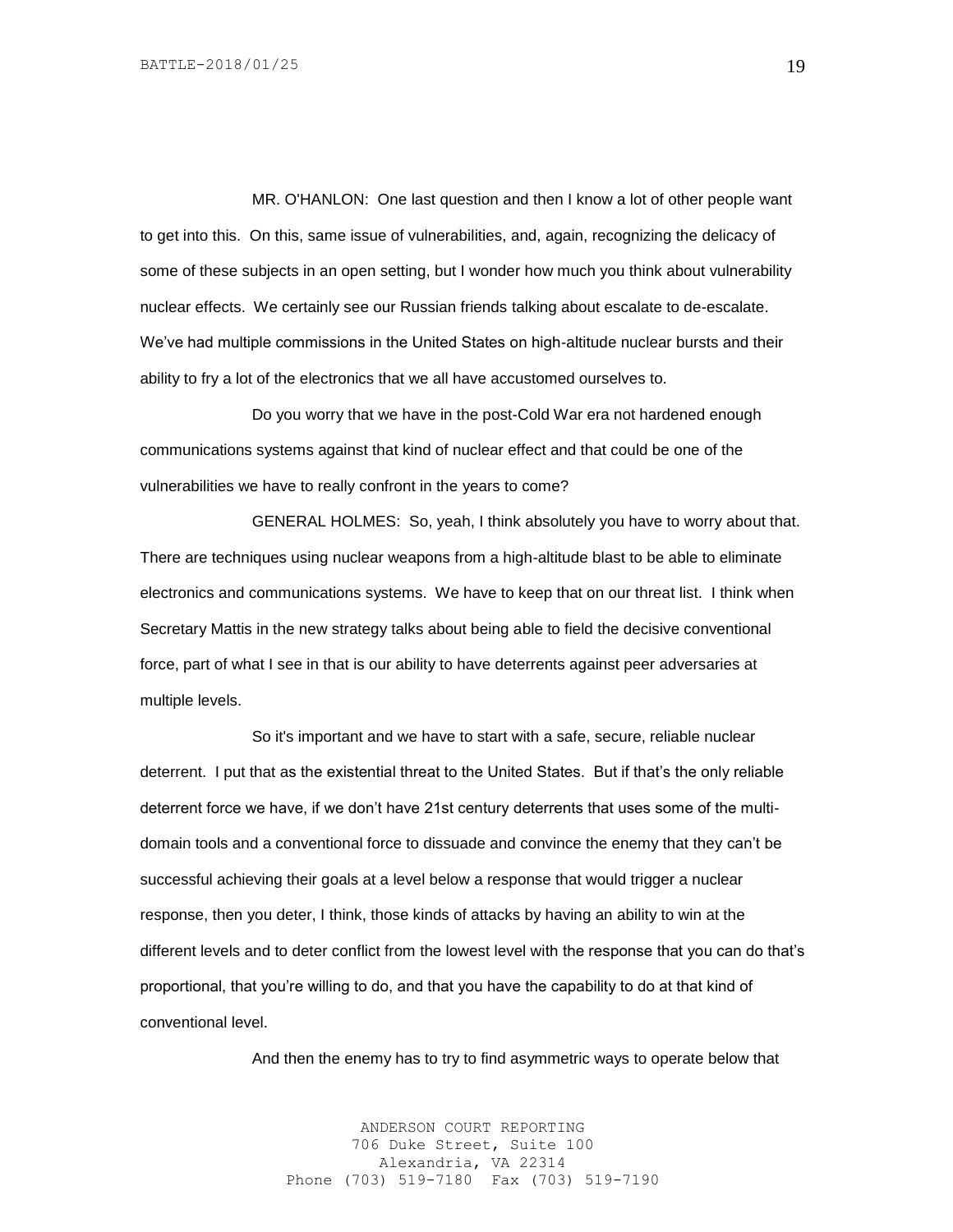MR. O'HANLON: One last question and then I know a lot of other people want to get into this. On this, same issue of vulnerabilities, and, again, recognizing the delicacy of some of these subjects in an open setting, but I wonder how much you think about vulnerability nuclear effects. We certainly see our Russian friends talking about escalate to de-escalate. We've had multiple commissions in the United States on high-altitude nuclear bursts and their ability to fry a lot of the electronics that we all have accustomed ourselves to.

Do you worry that we have in the post-Cold War era not hardened enough communications systems against that kind of nuclear effect and that could be one of the vulnerabilities we have to really confront in the years to come?

GENERAL HOLMES: So, yeah, I think absolutely you have to worry about that. There are techniques using nuclear weapons from a high-altitude blast to be able to eliminate electronics and communications systems. We have to keep that on our threat list. I think when Secretary Mattis in the new strategy talks about being able to field the decisive conventional force, part of what I see in that is our ability to have deterrents against peer adversaries at multiple levels.

So it's important and we have to start with a safe, secure, reliable nuclear deterrent. I put that as the existential threat to the United States. But if that's the only reliable deterrent force we have, if we don't have 21st century deterrents that uses some of the multidomain tools and a conventional force to dissuade and convince the enemy that they can't be successful achieving their goals at a level below a response that would trigger a nuclear response, then you deter, I think, those kinds of attacks by having an ability to win at the different levels and to deter conflict from the lowest level with the response that you can do that's proportional, that you're willing to do, and that you have the capability to do at that kind of conventional level.

And then the enemy has to try to find asymmetric ways to operate below that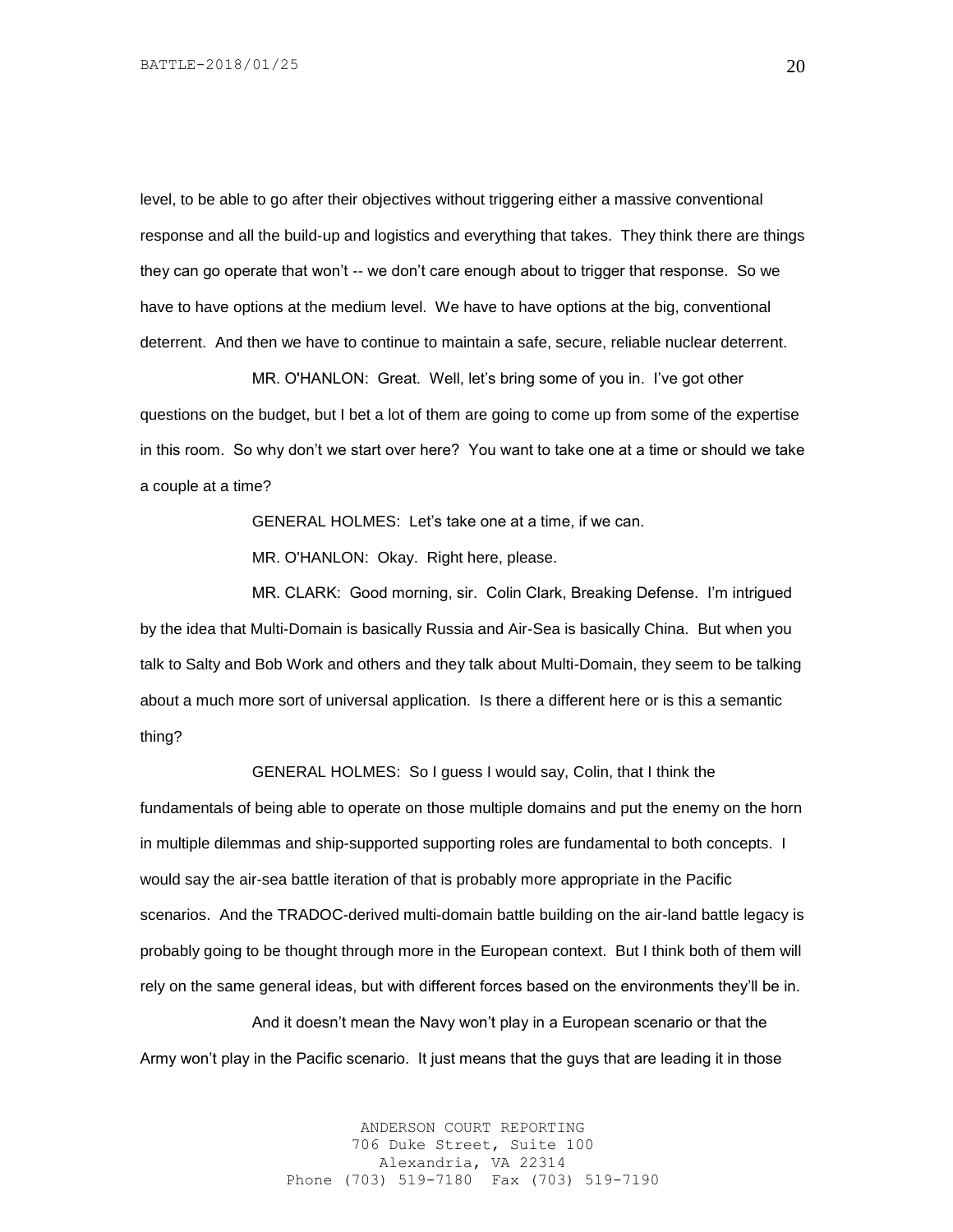level, to be able to go after their objectives without triggering either a massive conventional response and all the build-up and logistics and everything that takes. They think there are things they can go operate that won't -- we don't care enough about to trigger that response. So we have to have options at the medium level. We have to have options at the big, conventional deterrent. And then we have to continue to maintain a safe, secure, reliable nuclear deterrent.

MR. O'HANLON: Great. Well, let's bring some of you in. I've got other questions on the budget, but I bet a lot of them are going to come up from some of the expertise in this room. So why don't we start over here? You want to take one at a time or should we take a couple at a time?

GENERAL HOLMES: Let's take one at a time, if we can.

MR. O'HANLON: Okay. Right here, please.

MR. CLARK: Good morning, sir. Colin Clark, Breaking Defense. I'm intrigued by the idea that Multi-Domain is basically Russia and Air-Sea is basically China. But when you talk to Salty and Bob Work and others and they talk about Multi-Domain, they seem to be talking about a much more sort of universal application. Is there a different here or is this a semantic thing?

GENERAL HOLMES: So I guess I would say, Colin, that I think the

fundamentals of being able to operate on those multiple domains and put the enemy on the horn in multiple dilemmas and ship-supported supporting roles are fundamental to both concepts. I would say the air-sea battle iteration of that is probably more appropriate in the Pacific scenarios. And the TRADOC-derived multi-domain battle building on the air-land battle legacy is probably going to be thought through more in the European context. But I think both of them will rely on the same general ideas, but with different forces based on the environments they'll be in.

And it doesn't mean the Navy won't play in a European scenario or that the Army won't play in the Pacific scenario. It just means that the guys that are leading it in those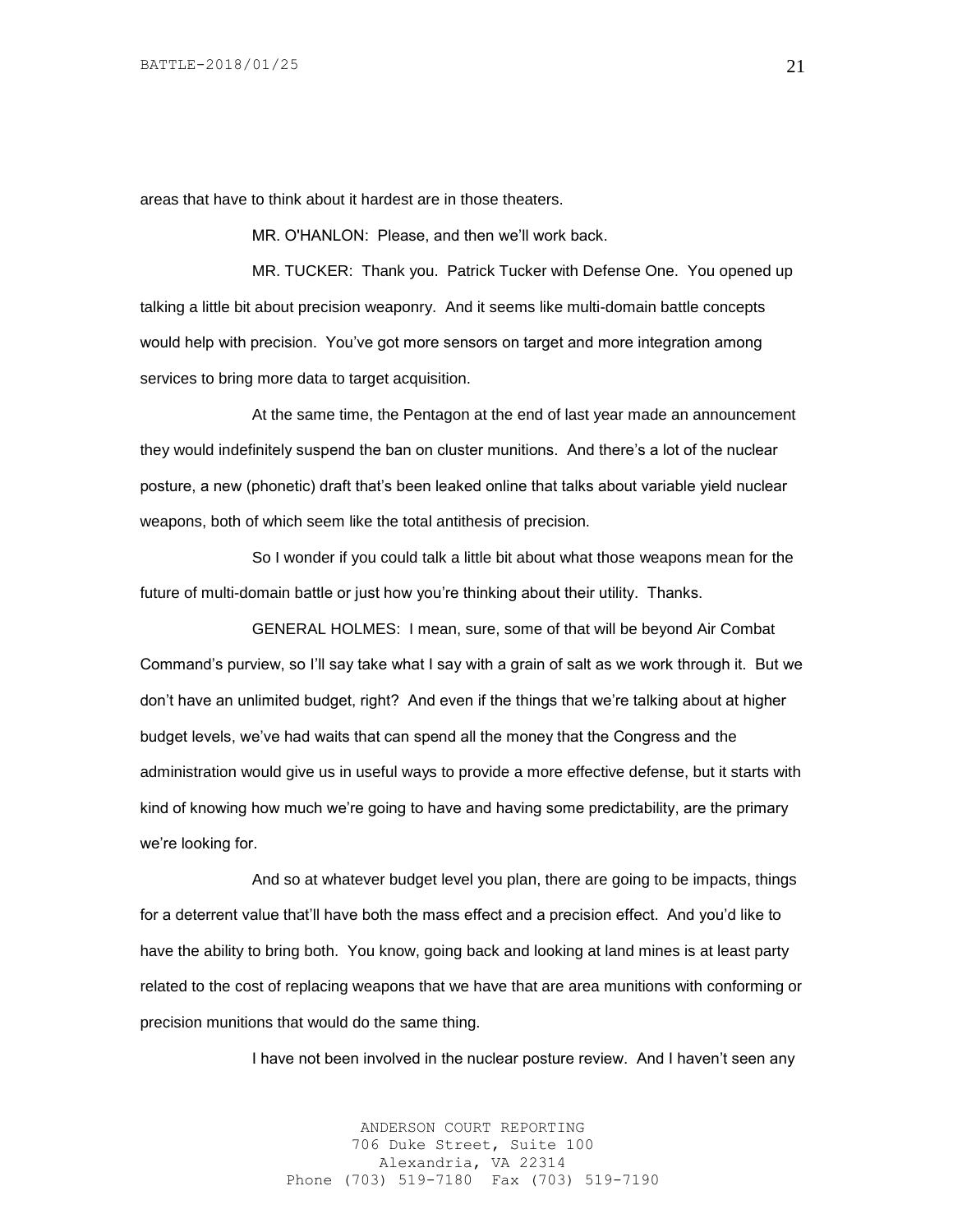areas that have to think about it hardest are in those theaters.

MR. O'HANLON: Please, and then we'll work back.

MR. TUCKER: Thank you. Patrick Tucker with Defense One. You opened up talking a little bit about precision weaponry. And it seems like multi-domain battle concepts would help with precision. You've got more sensors on target and more integration among services to bring more data to target acquisition.

At the same time, the Pentagon at the end of last year made an announcement they would indefinitely suspend the ban on cluster munitions. And there's a lot of the nuclear posture, a new (phonetic) draft that's been leaked online that talks about variable yield nuclear weapons, both of which seem like the total antithesis of precision.

So I wonder if you could talk a little bit about what those weapons mean for the future of multi-domain battle or just how you're thinking about their utility. Thanks.

GENERAL HOLMES: I mean, sure, some of that will be beyond Air Combat Command's purview, so I'll say take what I say with a grain of salt as we work through it. But we don't have an unlimited budget, right? And even if the things that we're talking about at higher budget levels, we've had waits that can spend all the money that the Congress and the administration would give us in useful ways to provide a more effective defense, but it starts with kind of knowing how much we're going to have and having some predictability, are the primary we're looking for.

And so at whatever budget level you plan, there are going to be impacts, things for a deterrent value that'll have both the mass effect and a precision effect. And you'd like to have the ability to bring both. You know, going back and looking at land mines is at least party related to the cost of replacing weapons that we have that are area munitions with conforming or precision munitions that would do the same thing.

I have not been involved in the nuclear posture review. And I haven't seen any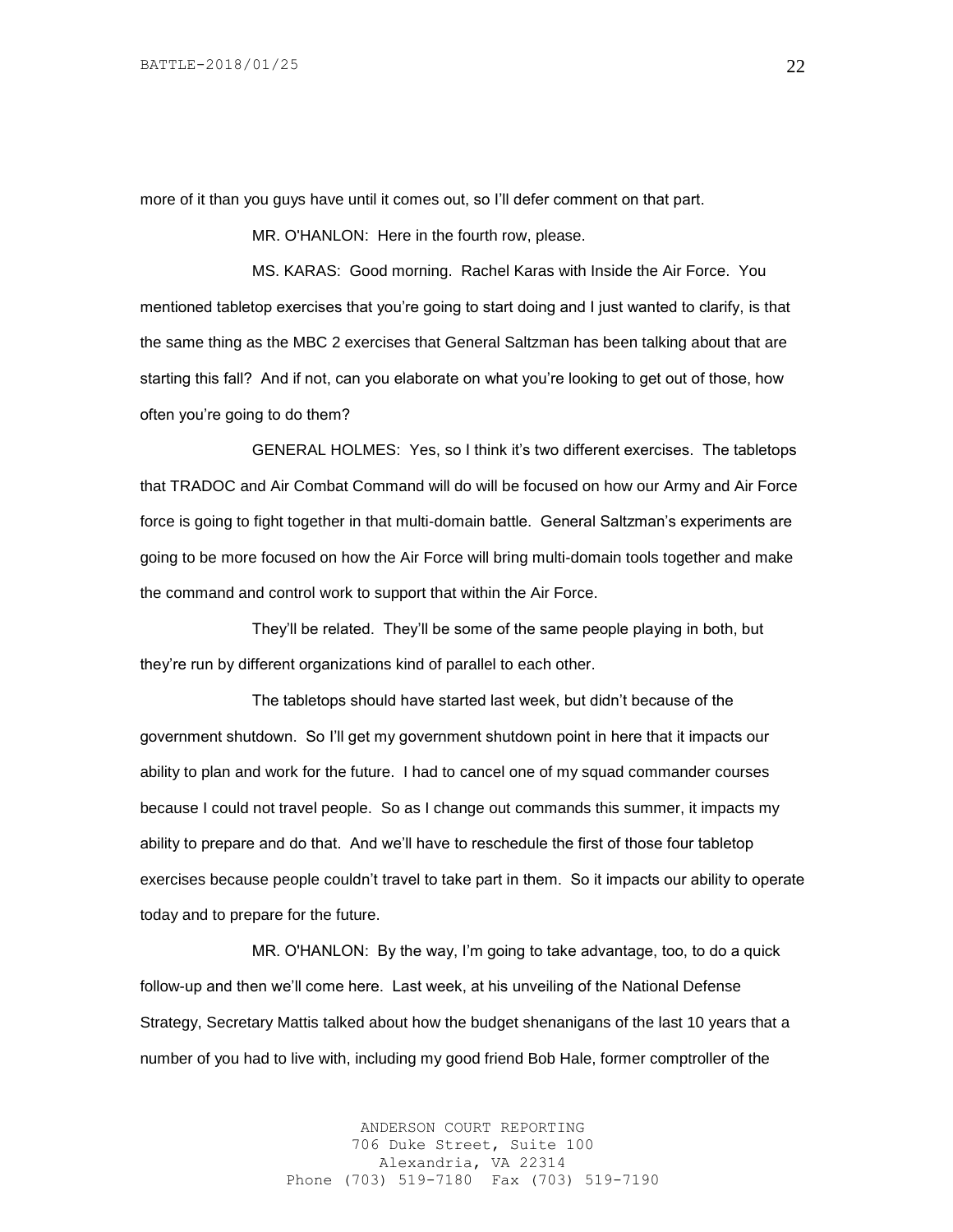more of it than you guys have until it comes out, so I'll defer comment on that part.

MR. O'HANLON: Here in the fourth row, please.

MS. KARAS: Good morning. Rachel Karas with Inside the Air Force. You mentioned tabletop exercises that you're going to start doing and I just wanted to clarify, is that the same thing as the MBC 2 exercises that General Saltzman has been talking about that are starting this fall? And if not, can you elaborate on what you're looking to get out of those, how often you're going to do them?

GENERAL HOLMES: Yes, so I think it's two different exercises. The tabletops that TRADOC and Air Combat Command will do will be focused on how our Army and Air Force force is going to fight together in that multi-domain battle. General Saltzman's experiments are going to be more focused on how the Air Force will bring multi-domain tools together and make the command and control work to support that within the Air Force.

They'll be related. They'll be some of the same people playing in both, but they're run by different organizations kind of parallel to each other.

The tabletops should have started last week, but didn't because of the government shutdown. So I'll get my government shutdown point in here that it impacts our ability to plan and work for the future. I had to cancel one of my squad commander courses because I could not travel people. So as I change out commands this summer, it impacts my ability to prepare and do that. And we'll have to reschedule the first of those four tabletop exercises because people couldn't travel to take part in them. So it impacts our ability to operate today and to prepare for the future.

MR. O'HANLON: By the way, I'm going to take advantage, too, to do a quick follow-up and then we'll come here. Last week, at his unveiling of the National Defense Strategy, Secretary Mattis talked about how the budget shenanigans of the last 10 years that a number of you had to live with, including my good friend Bob Hale, former comptroller of the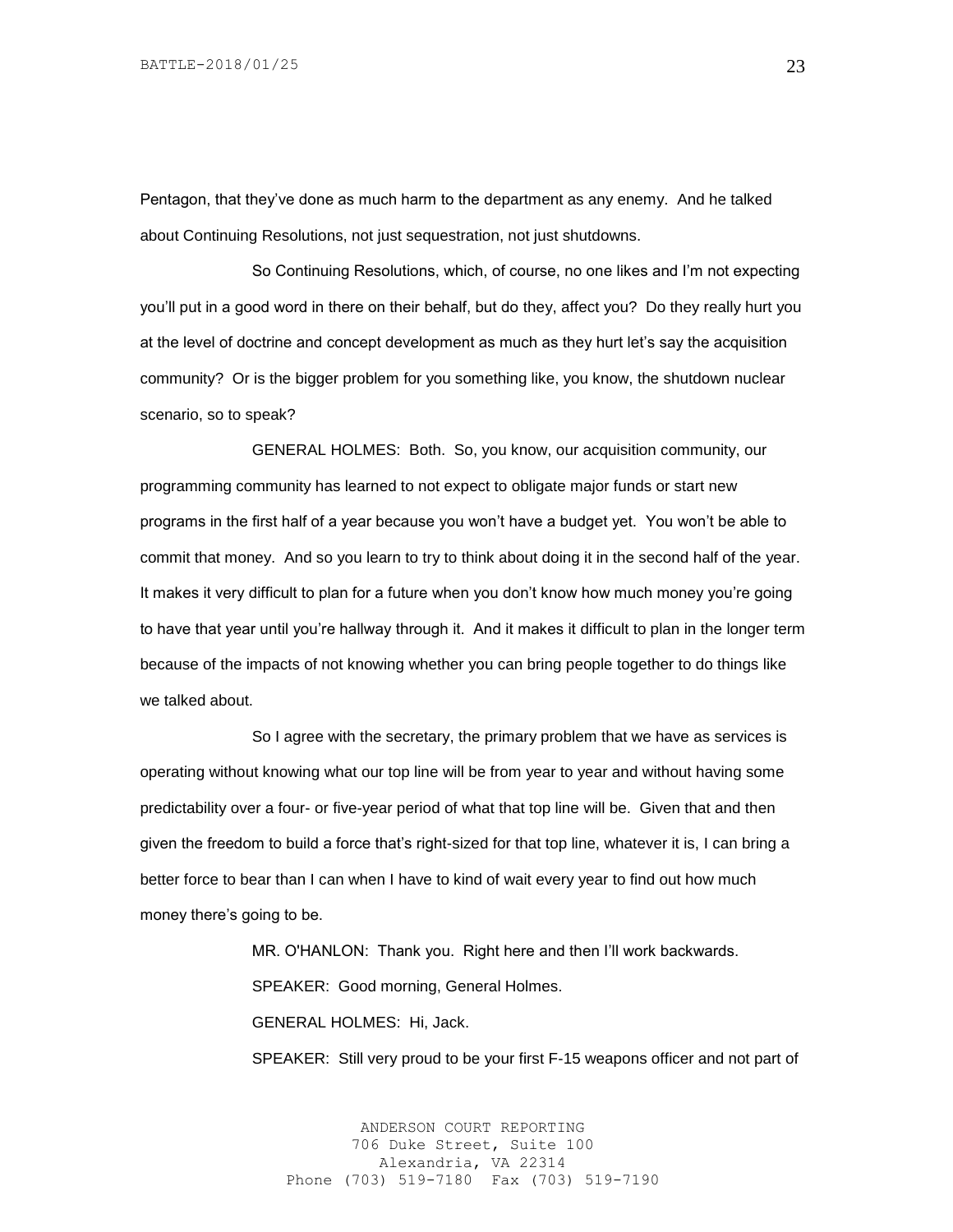Pentagon, that they've done as much harm to the department as any enemy. And he talked about Continuing Resolutions, not just sequestration, not just shutdowns.

So Continuing Resolutions, which, of course, no one likes and I'm not expecting you'll put in a good word in there on their behalf, but do they, affect you? Do they really hurt you at the level of doctrine and concept development as much as they hurt let's say the acquisition community? Or is the bigger problem for you something like, you know, the shutdown nuclear scenario, so to speak?

GENERAL HOLMES: Both. So, you know, our acquisition community, our programming community has learned to not expect to obligate major funds or start new programs in the first half of a year because you won't have a budget yet. You won't be able to commit that money. And so you learn to try to think about doing it in the second half of the year. It makes it very difficult to plan for a future when you don't know how much money you're going to have that year until you're hallway through it. And it makes it difficult to plan in the longer term because of the impacts of not knowing whether you can bring people together to do things like we talked about.

So I agree with the secretary, the primary problem that we have as services is operating without knowing what our top line will be from year to year and without having some predictability over a four- or five-year period of what that top line will be. Given that and then given the freedom to build a force that's right-sized for that top line, whatever it is, I can bring a better force to bear than I can when I have to kind of wait every year to find out how much money there's going to be.

> MR. O'HANLON: Thank you. Right here and then I'll work backwards. SPEAKER: Good morning, General Holmes. GENERAL HOLMES: Hi, Jack.

SPEAKER: Still very proud to be your first F-15 weapons officer and not part of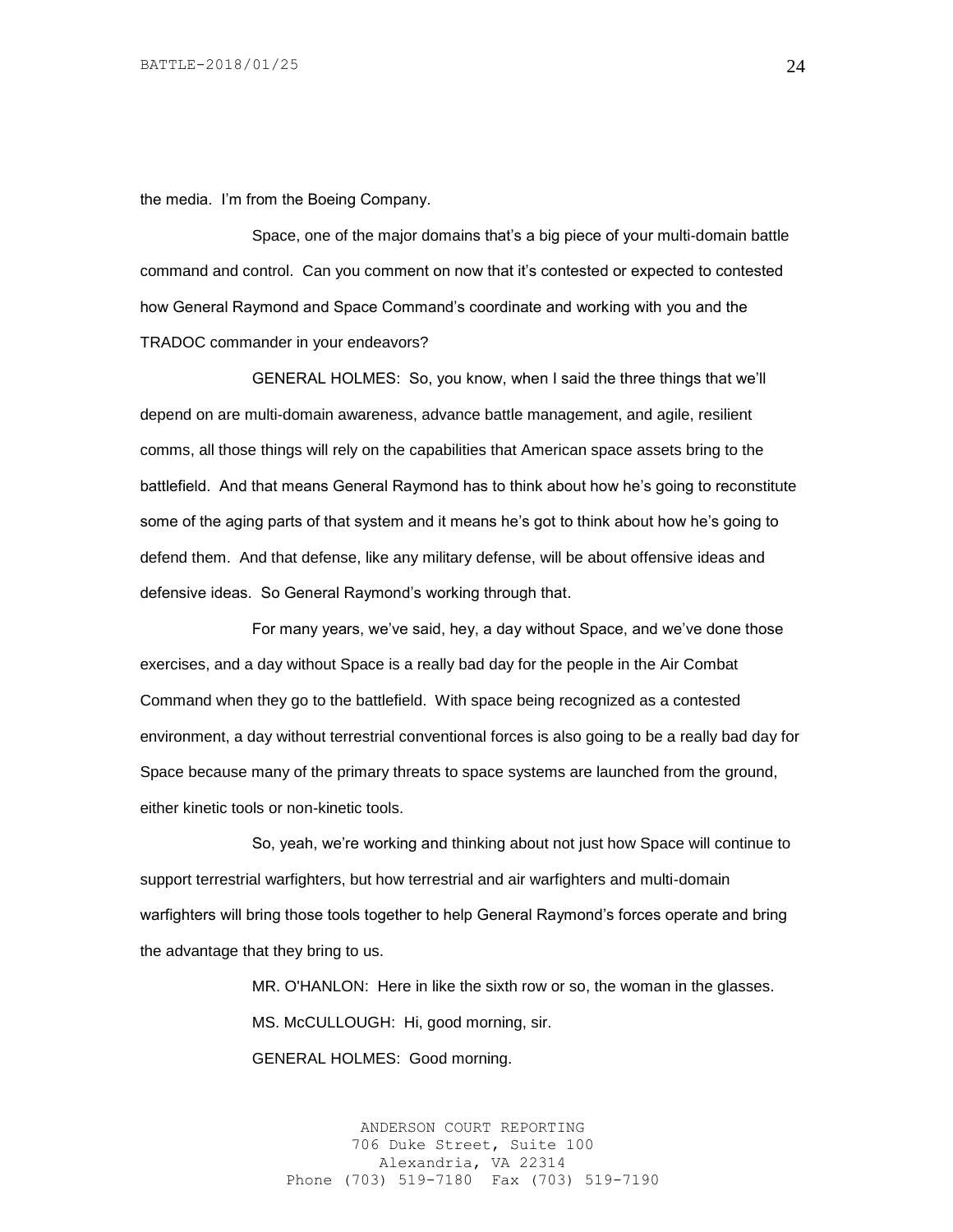the media. I'm from the Boeing Company.

Space, one of the major domains that's a big piece of your multi-domain battle command and control. Can you comment on now that it's contested or expected to contested how General Raymond and Space Command's coordinate and working with you and the TRADOC commander in your endeavors?

GENERAL HOLMES: So, you know, when I said the three things that we'll depend on are multi-domain awareness, advance battle management, and agile, resilient comms, all those things will rely on the capabilities that American space assets bring to the battlefield. And that means General Raymond has to think about how he's going to reconstitute some of the aging parts of that system and it means he's got to think about how he's going to defend them. And that defense, like any military defense, will be about offensive ideas and defensive ideas. So General Raymond's working through that.

For many years, we've said, hey, a day without Space, and we've done those exercises, and a day without Space is a really bad day for the people in the Air Combat Command when they go to the battlefield. With space being recognized as a contested environment, a day without terrestrial conventional forces is also going to be a really bad day for Space because many of the primary threats to space systems are launched from the ground, either kinetic tools or non-kinetic tools.

So, yeah, we're working and thinking about not just how Space will continue to support terrestrial warfighters, but how terrestrial and air warfighters and multi-domain warfighters will bring those tools together to help General Raymond's forces operate and bring the advantage that they bring to us.

> MR. O'HANLON: Here in like the sixth row or so, the woman in the glasses. MS. McCULLOUGH: Hi, good morning, sir. GENERAL HOLMES: Good morning.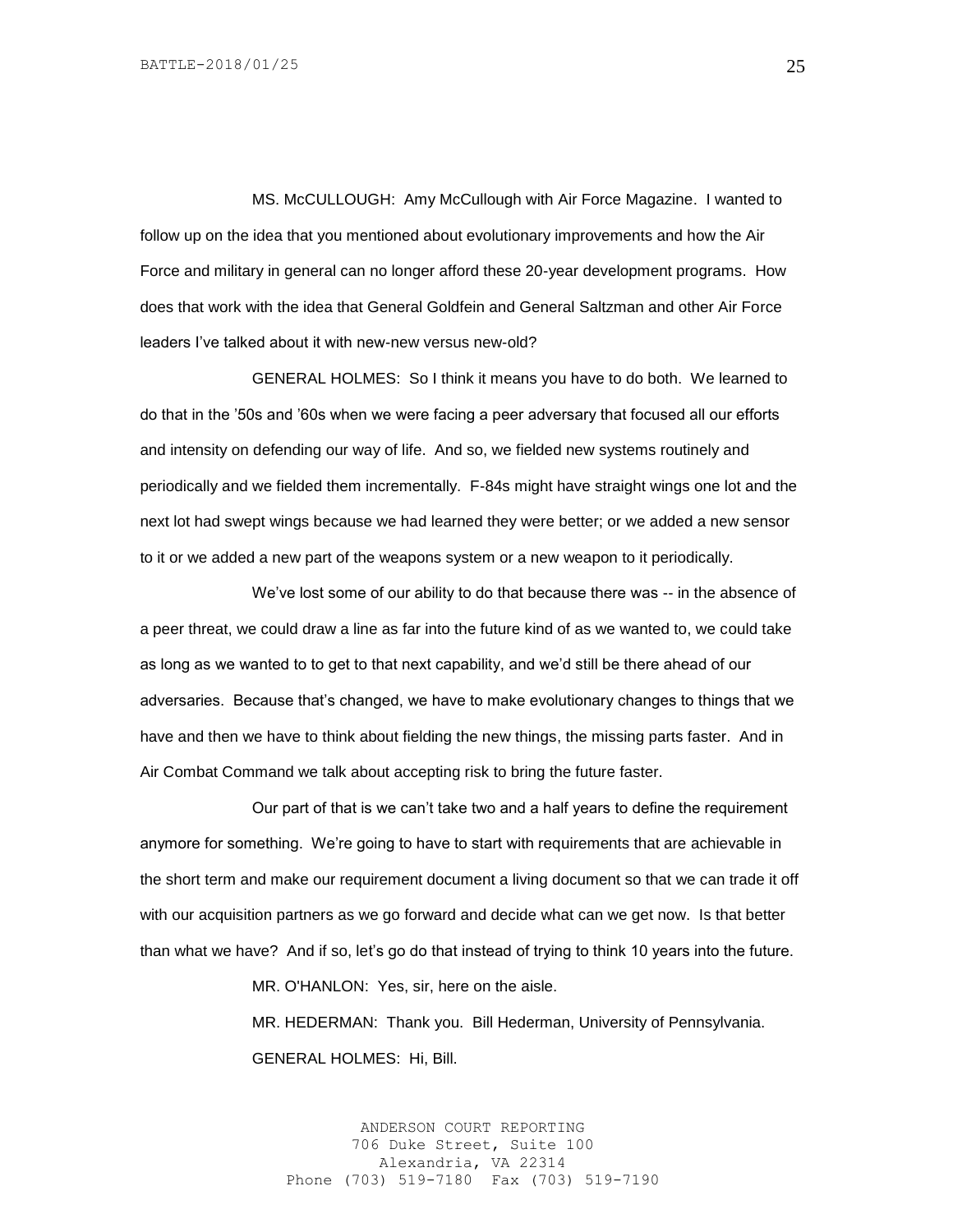MS. McCULLOUGH: Amy McCullough with Air Force Magazine. I wanted to follow up on the idea that you mentioned about evolutionary improvements and how the Air Force and military in general can no longer afford these 20-year development programs. How does that work with the idea that General Goldfein and General Saltzman and other Air Force leaders I've talked about it with new-new versus new-old?

GENERAL HOLMES: So I think it means you have to do both. We learned to do that in the '50s and '60s when we were facing a peer adversary that focused all our efforts and intensity on defending our way of life. And so, we fielded new systems routinely and periodically and we fielded them incrementally. F-84s might have straight wings one lot and the next lot had swept wings because we had learned they were better; or we added a new sensor to it or we added a new part of the weapons system or a new weapon to it periodically.

We've lost some of our ability to do that because there was -- in the absence of a peer threat, we could draw a line as far into the future kind of as we wanted to, we could take as long as we wanted to to get to that next capability, and we'd still be there ahead of our adversaries. Because that's changed, we have to make evolutionary changes to things that we have and then we have to think about fielding the new things, the missing parts faster. And in Air Combat Command we talk about accepting risk to bring the future faster.

Our part of that is we can't take two and a half years to define the requirement anymore for something. We're going to have to start with requirements that are achievable in the short term and make our requirement document a living document so that we can trade it off with our acquisition partners as we go forward and decide what can we get now. Is that better than what we have? And if so, let's go do that instead of trying to think 10 years into the future.

MR. O'HANLON: Yes, sir, here on the aisle.

MR. HEDERMAN: Thank you. Bill Hederman, University of Pennsylvania. GENERAL HOLMES: Hi, Bill.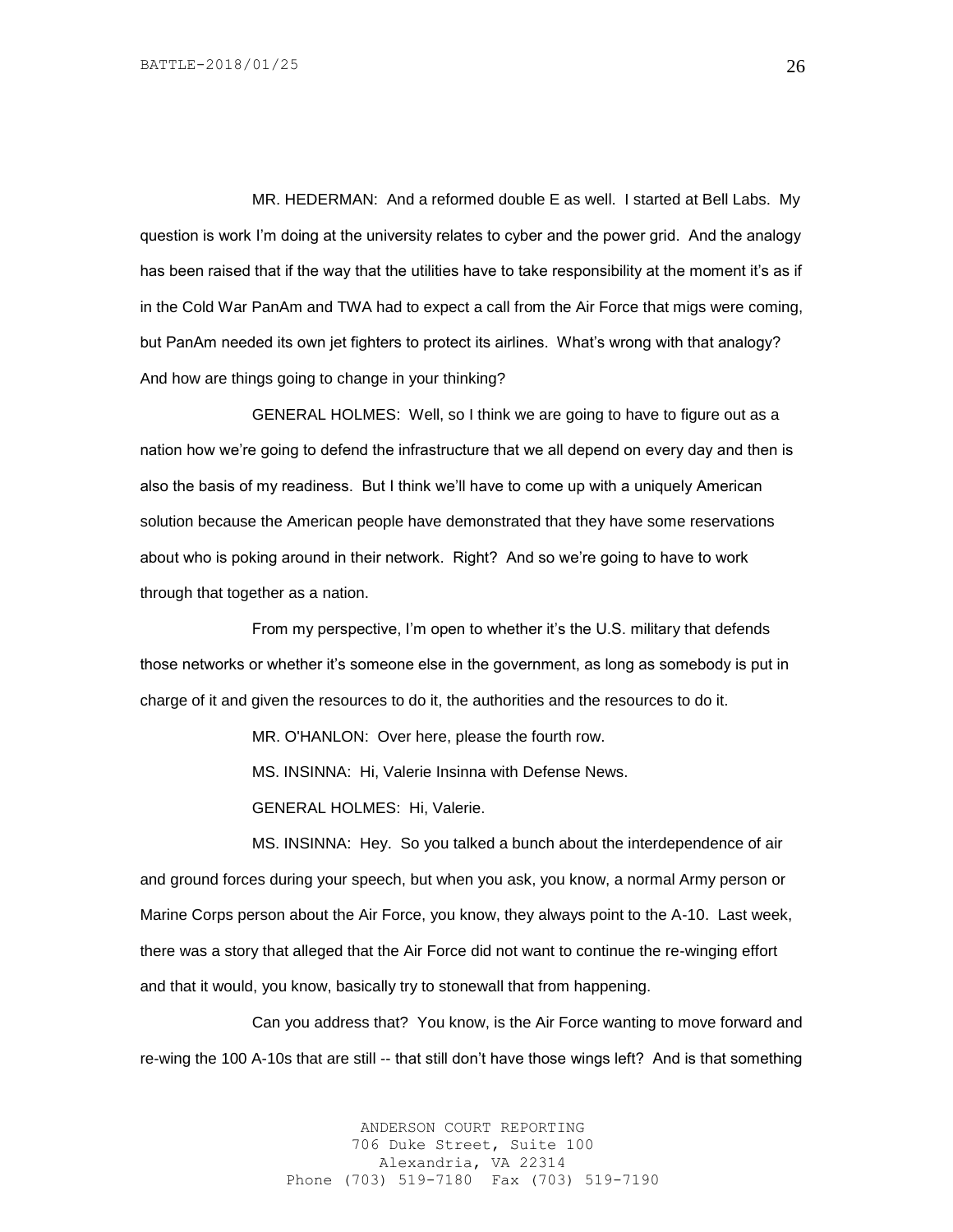MR. HEDERMAN: And a reformed double E as well. I started at Bell Labs. My question is work I'm doing at the university relates to cyber and the power grid. And the analogy has been raised that if the way that the utilities have to take responsibility at the moment it's as if in the Cold War PanAm and TWA had to expect a call from the Air Force that migs were coming, but PanAm needed its own jet fighters to protect its airlines. What's wrong with that analogy? And how are things going to change in your thinking?

GENERAL HOLMES: Well, so I think we are going to have to figure out as a nation how we're going to defend the infrastructure that we all depend on every day and then is also the basis of my readiness. But I think we'll have to come up with a uniquely American solution because the American people have demonstrated that they have some reservations about who is poking around in their network. Right? And so we're going to have to work through that together as a nation.

From my perspective, I'm open to whether it's the U.S. military that defends those networks or whether it's someone else in the government, as long as somebody is put in charge of it and given the resources to do it, the authorities and the resources to do it.

MR. O'HANLON: Over here, please the fourth row.

MS. INSINNA: Hi, Valerie Insinna with Defense News.

GENERAL HOLMES: Hi, Valerie.

MS. INSINNA: Hey. So you talked a bunch about the interdependence of air and ground forces during your speech, but when you ask, you know, a normal Army person or Marine Corps person about the Air Force, you know, they always point to the A-10. Last week, there was a story that alleged that the Air Force did not want to continue the re-winging effort and that it would, you know, basically try to stonewall that from happening.

Can you address that? You know, is the Air Force wanting to move forward and re-wing the 100 A-10s that are still -- that still don't have those wings left? And is that something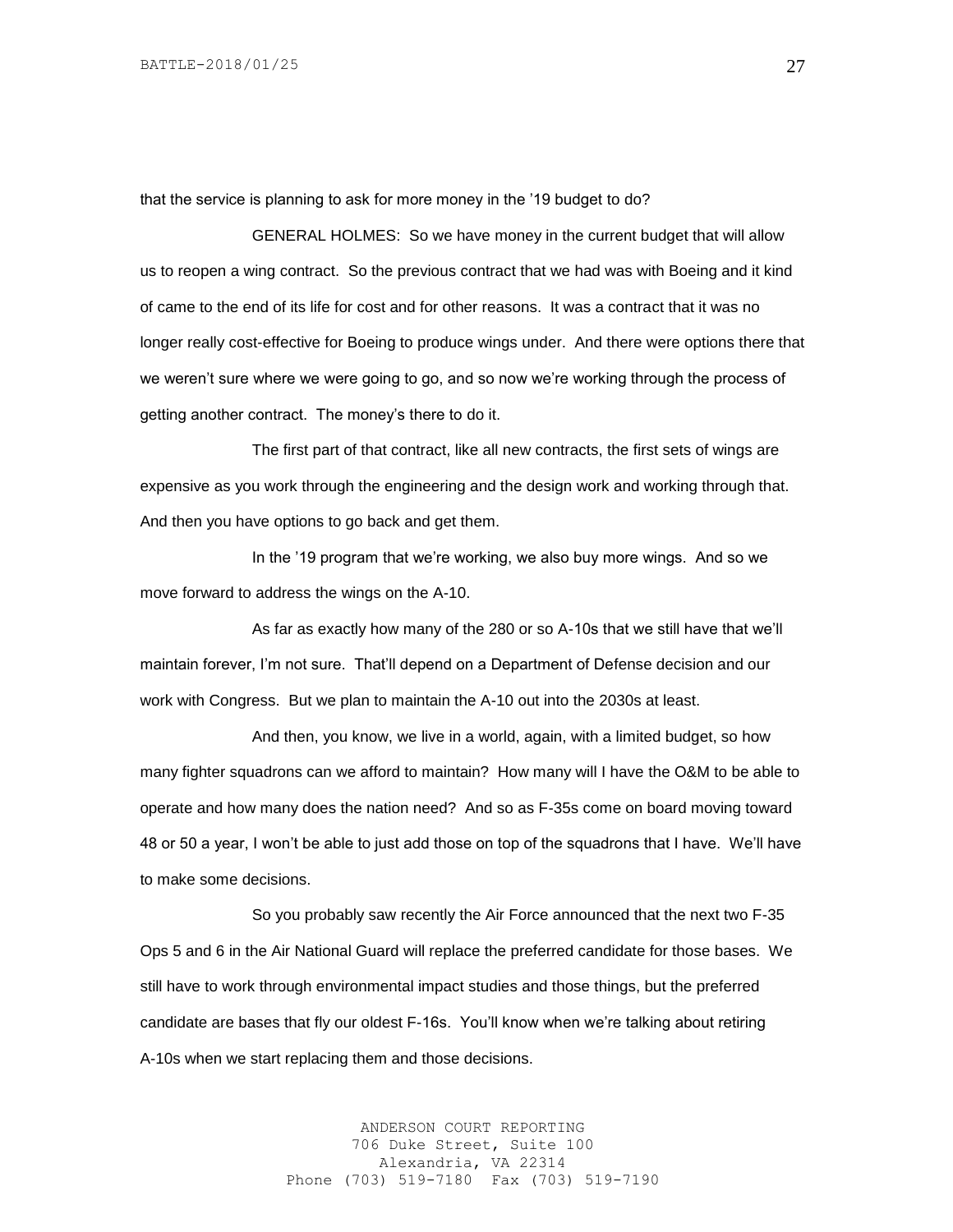that the service is planning to ask for more money in the '19 budget to do?

GENERAL HOLMES: So we have money in the current budget that will allow us to reopen a wing contract. So the previous contract that we had was with Boeing and it kind of came to the end of its life for cost and for other reasons. It was a contract that it was no longer really cost-effective for Boeing to produce wings under. And there were options there that we weren't sure where we were going to go, and so now we're working through the process of getting another contract. The money's there to do it.

The first part of that contract, like all new contracts, the first sets of wings are expensive as you work through the engineering and the design work and working through that. And then you have options to go back and get them.

In the '19 program that we're working, we also buy more wings. And so we move forward to address the wings on the A-10.

As far as exactly how many of the 280 or so A-10s that we still have that we'll maintain forever, I'm not sure. That'll depend on a Department of Defense decision and our work with Congress. But we plan to maintain the A-10 out into the 2030s at least.

And then, you know, we live in a world, again, with a limited budget, so how many fighter squadrons can we afford to maintain? How many will I have the O&M to be able to operate and how many does the nation need? And so as F-35s come on board moving toward 48 or 50 a year, I won't be able to just add those on top of the squadrons that I have. We'll have to make some decisions.

So you probably saw recently the Air Force announced that the next two F-35 Ops 5 and 6 in the Air National Guard will replace the preferred candidate for those bases. We still have to work through environmental impact studies and those things, but the preferred candidate are bases that fly our oldest F-16s. You'll know when we're talking about retiring A-10s when we start replacing them and those decisions.

> ANDERSON COURT REPORTING 706 Duke Street, Suite 100 Alexandria, VA 22314 Phone (703) 519-7180 Fax (703) 519-7190

27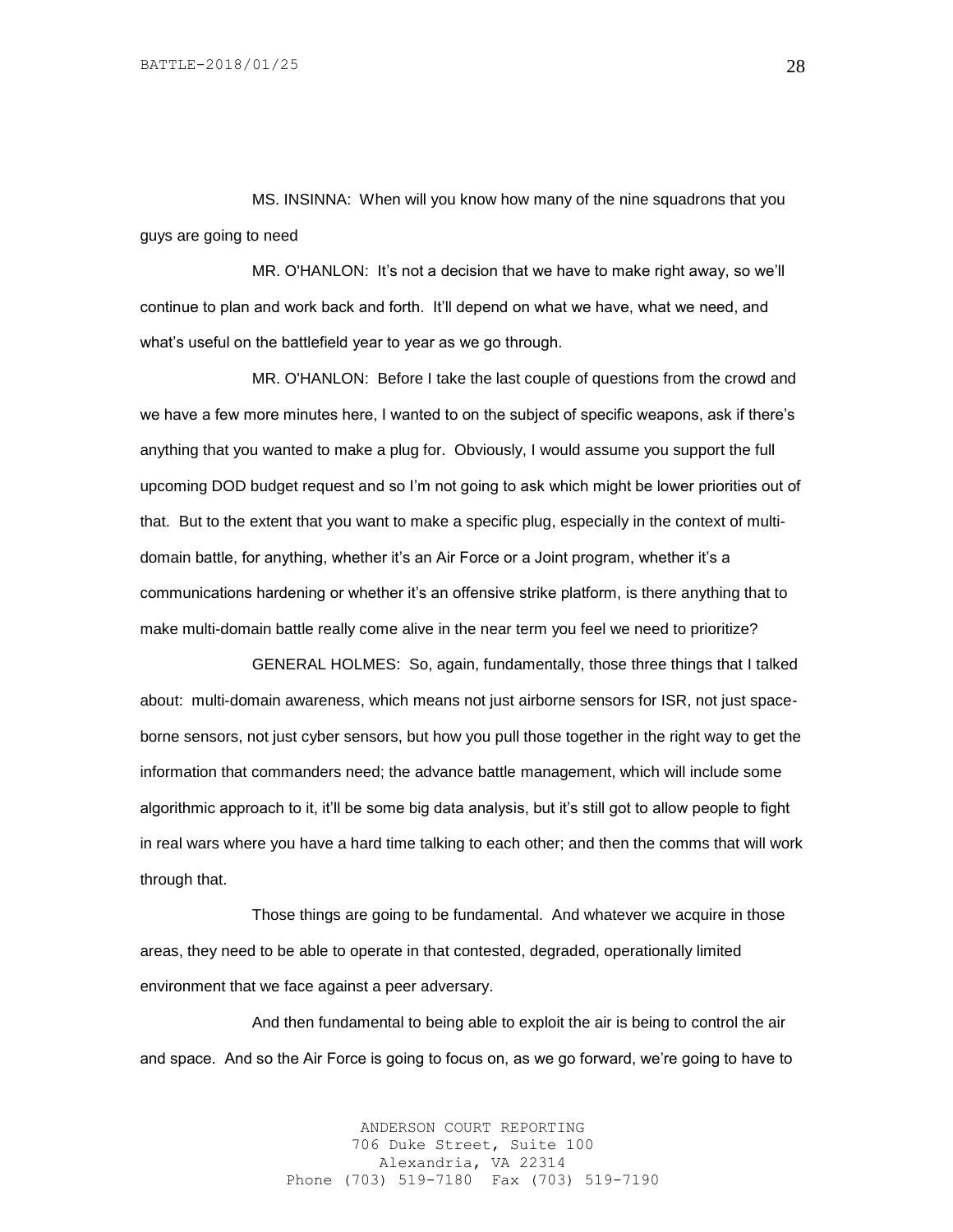MS. INSINNA: When will you know how many of the nine squadrons that you guys are going to need

MR. O'HANLON: It's not a decision that we have to make right away, so we'll continue to plan and work back and forth. It'll depend on what we have, what we need, and what's useful on the battlefield year to year as we go through.

MR. O'HANLON: Before I take the last couple of questions from the crowd and we have a few more minutes here, I wanted to on the subject of specific weapons, ask if there's anything that you wanted to make a plug for. Obviously, I would assume you support the full upcoming DOD budget request and so I'm not going to ask which might be lower priorities out of that. But to the extent that you want to make a specific plug, especially in the context of multidomain battle, for anything, whether it's an Air Force or a Joint program, whether it's a communications hardening or whether it's an offensive strike platform, is there anything that to make multi-domain battle really come alive in the near term you feel we need to prioritize?

GENERAL HOLMES: So, again, fundamentally, those three things that I talked about: multi-domain awareness, which means not just airborne sensors for ISR, not just spaceborne sensors, not just cyber sensors, but how you pull those together in the right way to get the information that commanders need; the advance battle management, which will include some algorithmic approach to it, it'll be some big data analysis, but it's still got to allow people to fight in real wars where you have a hard time talking to each other; and then the comms that will work through that.

Those things are going to be fundamental. And whatever we acquire in those areas, they need to be able to operate in that contested, degraded, operationally limited environment that we face against a peer adversary.

And then fundamental to being able to exploit the air is being to control the air and space. And so the Air Force is going to focus on, as we go forward, we're going to have to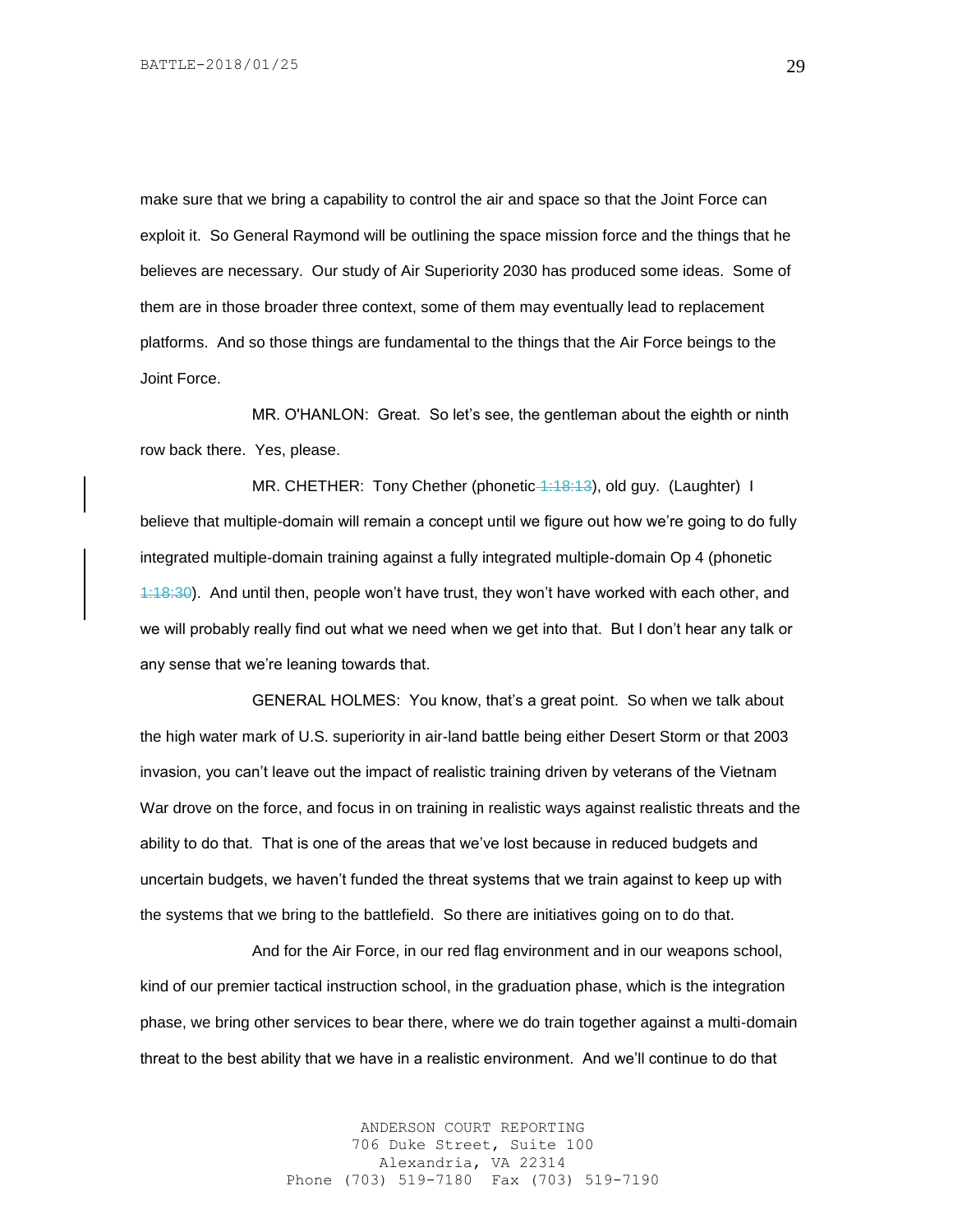make sure that we bring a capability to control the air and space so that the Joint Force can exploit it. So General Raymond will be outlining the space mission force and the things that he believes are necessary. Our study of Air Superiority 2030 has produced some ideas. Some of them are in those broader three context, some of them may eventually lead to replacement platforms. And so those things are fundamental to the things that the Air Force beings to the Joint Force.

MR. O'HANLON: Great. So let's see, the gentleman about the eighth or ninth row back there. Yes, please.

MR. CHETHER: Tony Chether (phonetic 4:18:13), old guy. (Laughter) I believe that multiple-domain will remain a concept until we figure out how we're going to do fully integrated multiple-domain training against a fully integrated multiple-domain Op 4 (phonetic 1:18:30). And until then, people won't have trust, they won't have worked with each other, and we will probably really find out what we need when we get into that. But I don't hear any talk or any sense that we're leaning towards that.

GENERAL HOLMES: You know, that's a great point. So when we talk about the high water mark of U.S. superiority in air-land battle being either Desert Storm or that 2003 invasion, you can't leave out the impact of realistic training driven by veterans of the Vietnam War drove on the force, and focus in on training in realistic ways against realistic threats and the ability to do that. That is one of the areas that we've lost because in reduced budgets and uncertain budgets, we haven't funded the threat systems that we train against to keep up with the systems that we bring to the battlefield. So there are initiatives going on to do that.

And for the Air Force, in our red flag environment and in our weapons school, kind of our premier tactical instruction school, in the graduation phase, which is the integration phase, we bring other services to bear there, where we do train together against a multi-domain threat to the best ability that we have in a realistic environment. And we'll continue to do that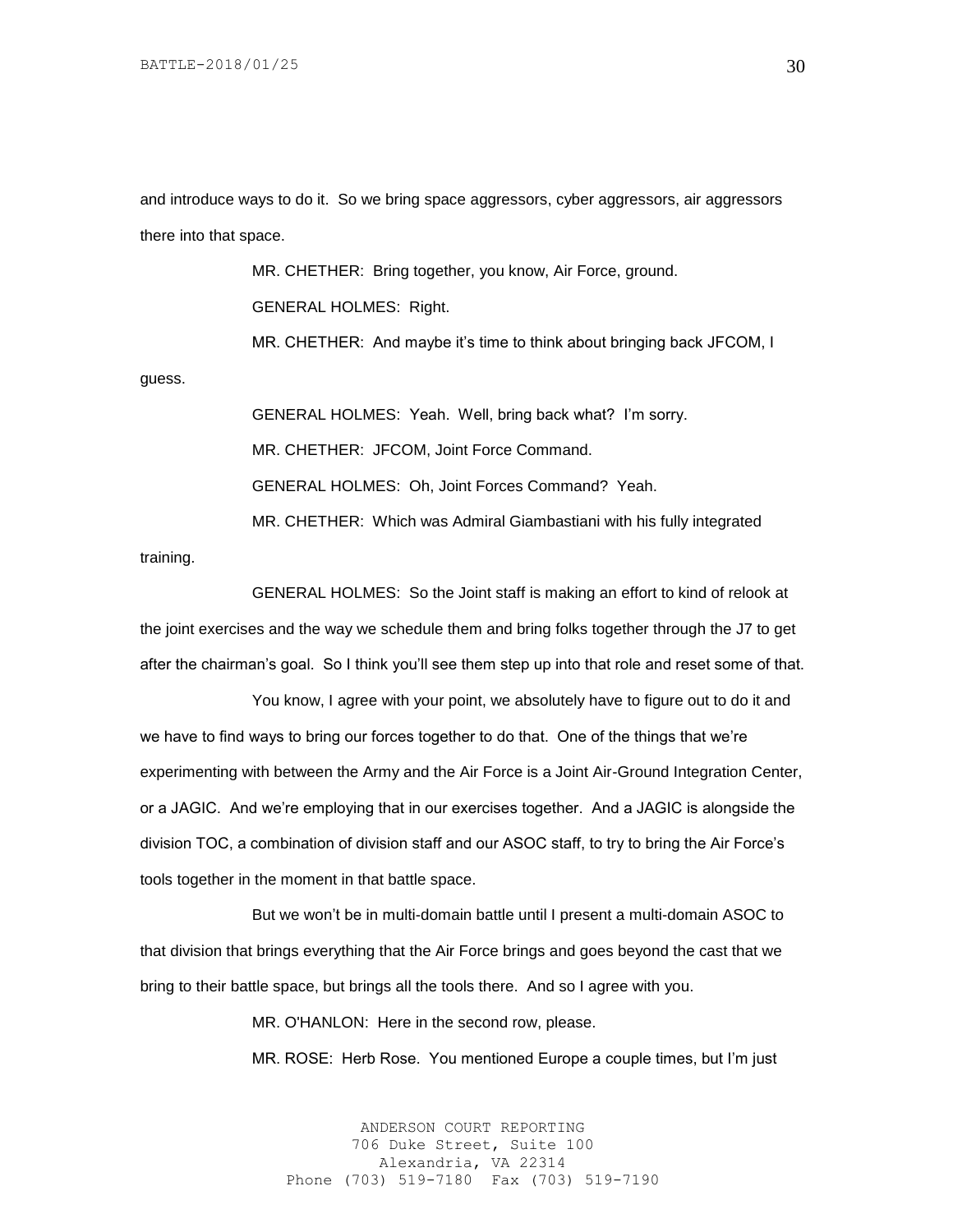and introduce ways to do it. So we bring space aggressors, cyber aggressors, air aggressors there into that space.

MR. CHETHER: Bring together, you know, Air Force, ground. GENERAL HOLMES: Right. MR. CHETHER: And maybe it's time to think about bringing back JFCOM, I guess.

> GENERAL HOLMES: Yeah. Well, bring back what? I'm sorry. MR. CHETHER: JFCOM, Joint Force Command. GENERAL HOLMES: Oh, Joint Forces Command? Yeah. MR. CHETHER: Which was Admiral Giambastiani with his fully integrated

training.

GENERAL HOLMES: So the Joint staff is making an effort to kind of relook at the joint exercises and the way we schedule them and bring folks together through the J7 to get after the chairman's goal. So I think you'll see them step up into that role and reset some of that.

You know, I agree with your point, we absolutely have to figure out to do it and we have to find ways to bring our forces together to do that. One of the things that we're experimenting with between the Army and the Air Force is a Joint Air-Ground Integration Center, or a JAGIC. And we're employing that in our exercises together. And a JAGIC is alongside the division TOC, a combination of division staff and our ASOC staff, to try to bring the Air Force's tools together in the moment in that battle space.

But we won't be in multi-domain battle until I present a multi-domain ASOC to that division that brings everything that the Air Force brings and goes beyond the cast that we bring to their battle space, but brings all the tools there. And so I agree with you.

MR. O'HANLON: Here in the second row, please.

MR. ROSE: Herb Rose. You mentioned Europe a couple times, but I'm just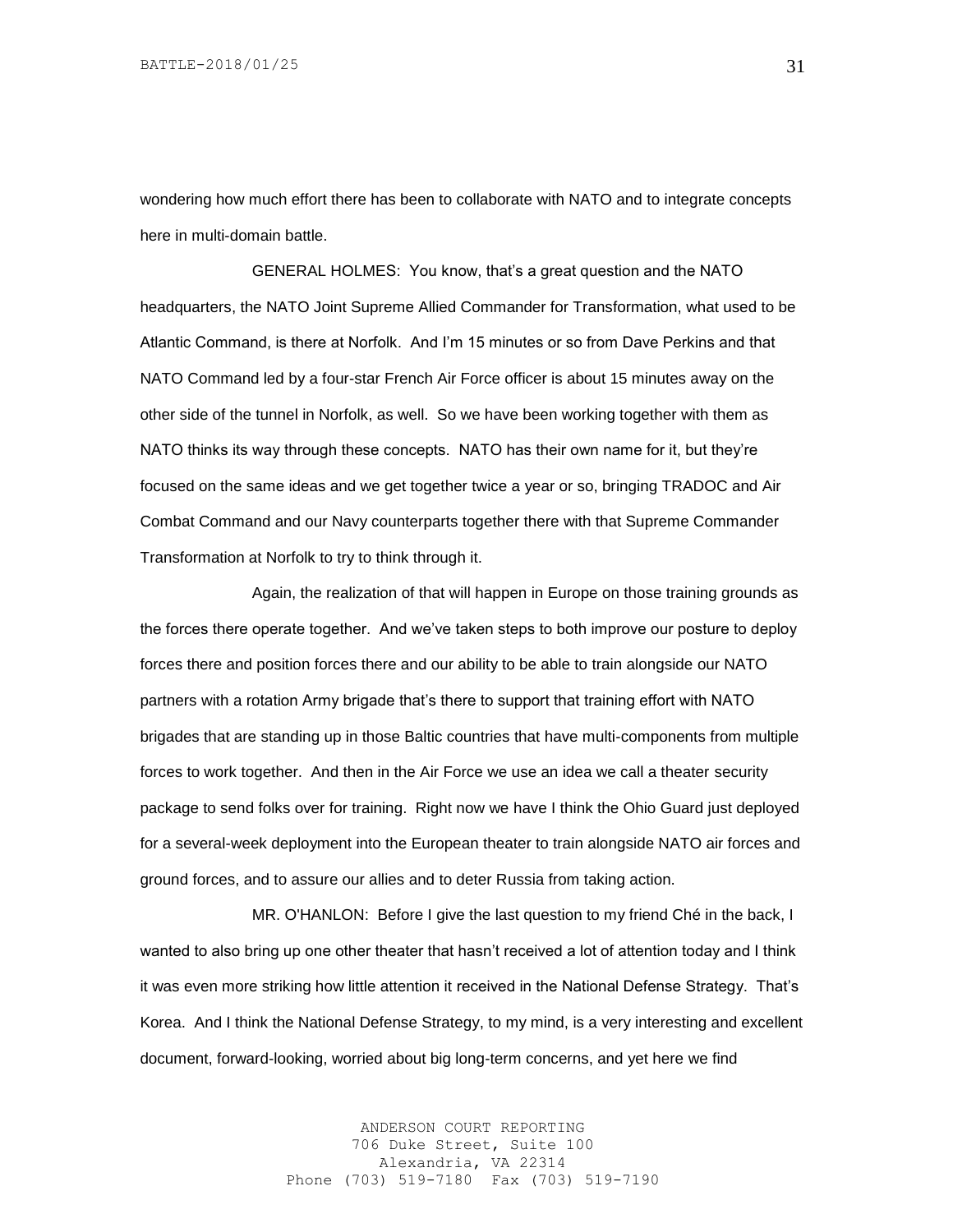wondering how much effort there has been to collaborate with NATO and to integrate concepts here in multi-domain battle.

GENERAL HOLMES: You know, that's a great question and the NATO headquarters, the NATO Joint Supreme Allied Commander for Transformation, what used to be Atlantic Command, is there at Norfolk. And I'm 15 minutes or so from Dave Perkins and that NATO Command led by a four-star French Air Force officer is about 15 minutes away on the other side of the tunnel in Norfolk, as well. So we have been working together with them as NATO thinks its way through these concepts. NATO has their own name for it, but they're focused on the same ideas and we get together twice a year or so, bringing TRADOC and Air Combat Command and our Navy counterparts together there with that Supreme Commander Transformation at Norfolk to try to think through it.

Again, the realization of that will happen in Europe on those training grounds as the forces there operate together. And we've taken steps to both improve our posture to deploy forces there and position forces there and our ability to be able to train alongside our NATO partners with a rotation Army brigade that's there to support that training effort with NATO brigades that are standing up in those Baltic countries that have multi-components from multiple forces to work together. And then in the Air Force we use an idea we call a theater security package to send folks over for training. Right now we have I think the Ohio Guard just deployed for a several-week deployment into the European theater to train alongside NATO air forces and ground forces, and to assure our allies and to deter Russia from taking action.

MR. O'HANLON: Before I give the last question to my friend Ché in the back, I wanted to also bring up one other theater that hasn't received a lot of attention today and I think it was even more striking how little attention it received in the National Defense Strategy. That's Korea. And I think the National Defense Strategy, to my mind, is a very interesting and excellent document, forward-looking, worried about big long-term concerns, and yet here we find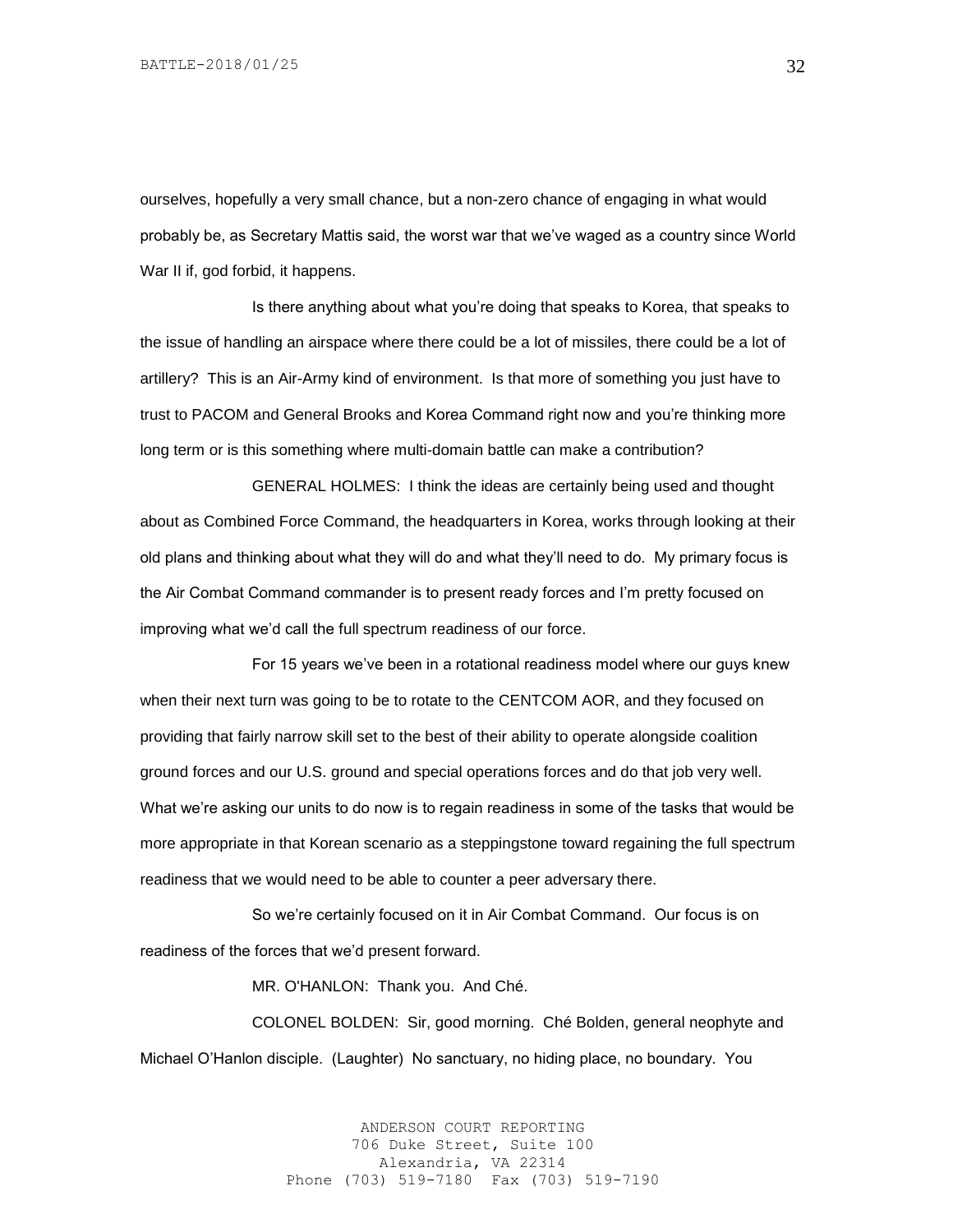ourselves, hopefully a very small chance, but a non-zero chance of engaging in what would probably be, as Secretary Mattis said, the worst war that we've waged as a country since World War II if, god forbid, it happens.

Is there anything about what you're doing that speaks to Korea, that speaks to the issue of handling an airspace where there could be a lot of missiles, there could be a lot of artillery? This is an Air-Army kind of environment. Is that more of something you just have to trust to PACOM and General Brooks and Korea Command right now and you're thinking more long term or is this something where multi-domain battle can make a contribution?

GENERAL HOLMES: I think the ideas are certainly being used and thought about as Combined Force Command, the headquarters in Korea, works through looking at their old plans and thinking about what they will do and what they'll need to do. My primary focus is the Air Combat Command commander is to present ready forces and I'm pretty focused on improving what we'd call the full spectrum readiness of our force.

For 15 years we've been in a rotational readiness model where our guys knew when their next turn was going to be to rotate to the CENTCOM AOR, and they focused on providing that fairly narrow skill set to the best of their ability to operate alongside coalition ground forces and our U.S. ground and special operations forces and do that job very well. What we're asking our units to do now is to regain readiness in some of the tasks that would be more appropriate in that Korean scenario as a steppingstone toward regaining the full spectrum readiness that we would need to be able to counter a peer adversary there.

So we're certainly focused on it in Air Combat Command. Our focus is on readiness of the forces that we'd present forward.

MR. O'HANLON: Thank you. And Ché.

COLONEL BOLDEN: Sir, good morning. Ché Bolden, general neophyte and Michael O'Hanlon disciple. (Laughter) No sanctuary, no hiding place, no boundary. You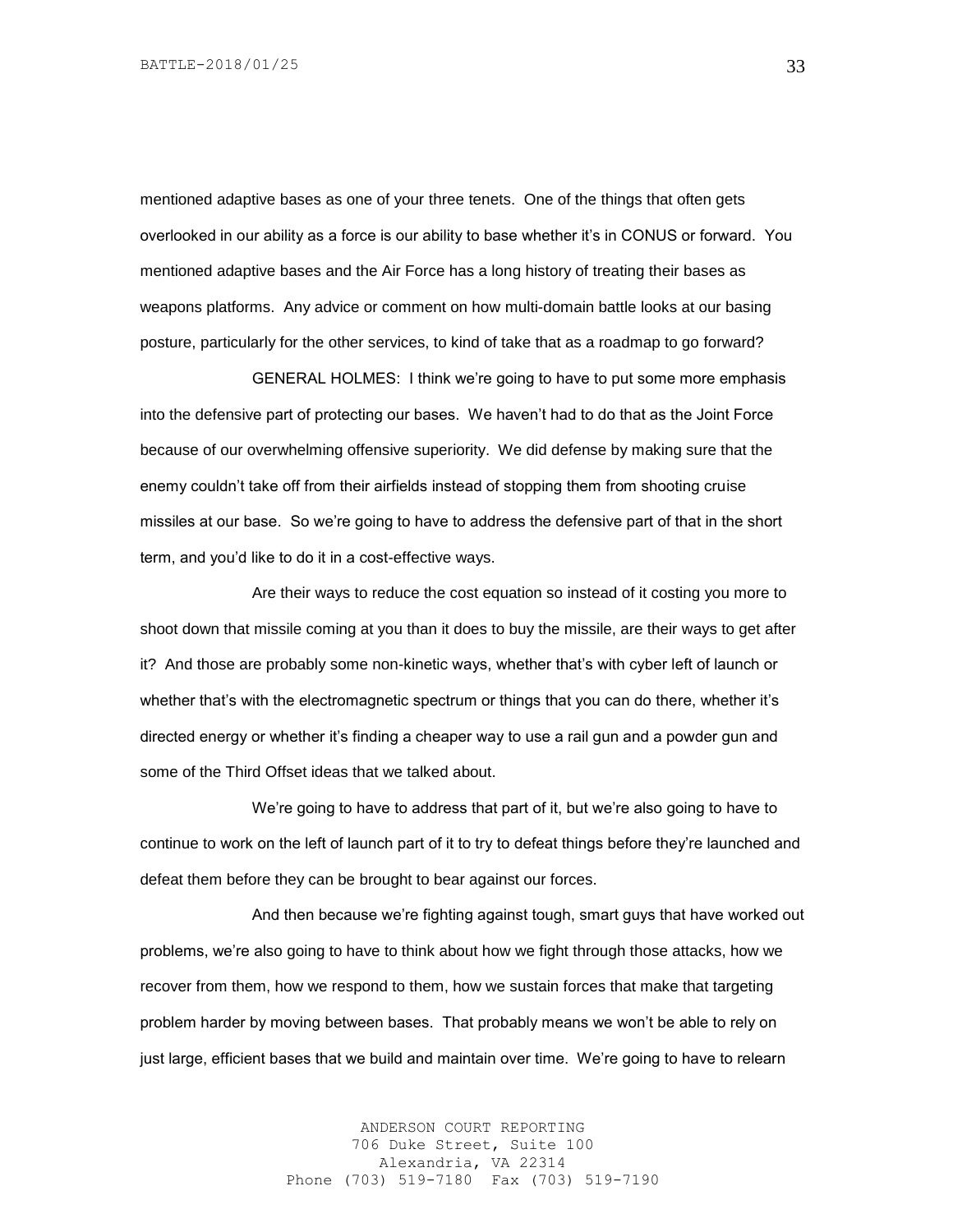mentioned adaptive bases as one of your three tenets. One of the things that often gets overlooked in our ability as a force is our ability to base whether it's in CONUS or forward. You mentioned adaptive bases and the Air Force has a long history of treating their bases as weapons platforms. Any advice or comment on how multi-domain battle looks at our basing posture, particularly for the other services, to kind of take that as a roadmap to go forward?

GENERAL HOLMES: I think we're going to have to put some more emphasis into the defensive part of protecting our bases. We haven't had to do that as the Joint Force because of our overwhelming offensive superiority. We did defense by making sure that the enemy couldn't take off from their airfields instead of stopping them from shooting cruise missiles at our base. So we're going to have to address the defensive part of that in the short term, and you'd like to do it in a cost-effective ways.

Are their ways to reduce the cost equation so instead of it costing you more to shoot down that missile coming at you than it does to buy the missile, are their ways to get after it? And those are probably some non-kinetic ways, whether that's with cyber left of launch or whether that's with the electromagnetic spectrum or things that you can do there, whether it's directed energy or whether it's finding a cheaper way to use a rail gun and a powder gun and some of the Third Offset ideas that we talked about.

We're going to have to address that part of it, but we're also going to have to continue to work on the left of launch part of it to try to defeat things before they're launched and defeat them before they can be brought to bear against our forces.

And then because we're fighting against tough, smart guys that have worked out problems, we're also going to have to think about how we fight through those attacks, how we recover from them, how we respond to them, how we sustain forces that make that targeting problem harder by moving between bases. That probably means we won't be able to rely on just large, efficient bases that we build and maintain over time. We're going to have to relearn